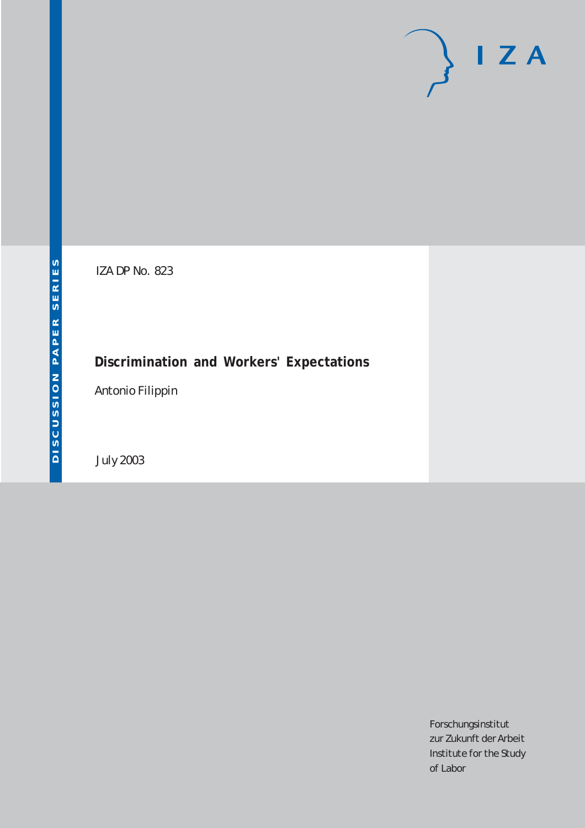# $I Z A$

IZA DP No. 823

# **Discrimination and Workers' Expectations**

Antonio Filippin

July 2003

Forschungsinstitut zur Zukunft der Arbeit Institute for the Study of Labor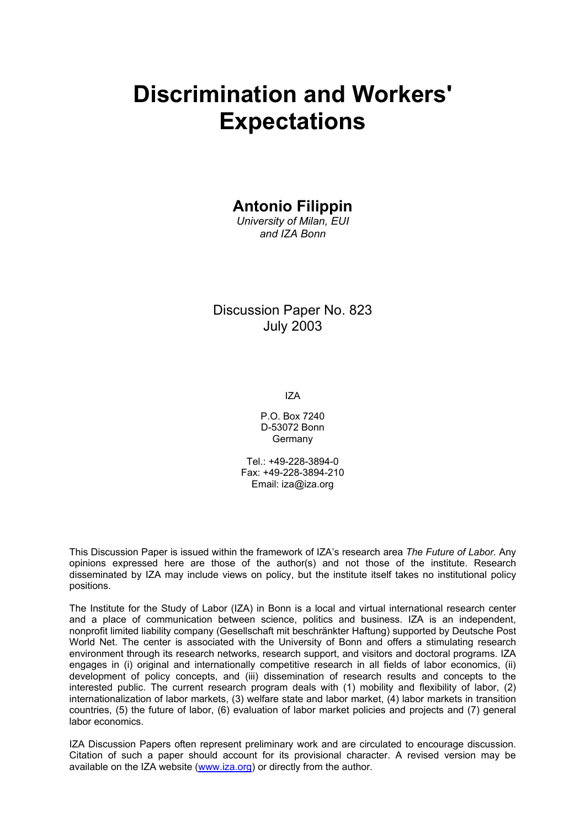# **Discrimination and Workers' Expectations**

# **Antonio Filippin**

*University of Milan, EUI and IZA Bonn* 

Discussion Paper No. 823 July 2003

IZA

P.O. Box 7240 D-53072 Bonn Germany

Tel.: +49-228-3894-0 Fax: +49-228-3894-210 Email: [iza@iza.org](mailto:iza@iza.org)

This Discussion Paper is issued within the framework of IZA's research area *The Future of Labor.* Any opinions expressed here are those of the author(s) and not those of the institute. Research disseminated by IZA may include views on policy, but the institute itself takes no institutional policy positions.

The Institute for the Study of Labor (IZA) in Bonn is a local and virtual international research center and a place of communication between science, politics and business. IZA is an independent, nonprofit limited liability company (Gesellschaft mit beschränkter Haftung) supported by Deutsche Post World Net. The center is associated with the University of Bonn and offers a stimulating research environment through its research networks, research support, and visitors and doctoral programs. IZA engages in (i) original and internationally competitive research in all fields of labor economics, (ii) development of policy concepts, and (iii) dissemination of research results and concepts to the interested public. The current research program deals with (1) mobility and flexibility of labor, (2) internationalization of labor markets, (3) welfare state and labor market, (4) labor markets in transition countries, (5) the future of labor, (6) evaluation of labor market policies and projects and (7) general labor economics.

IZA Discussion Papers often represent preliminary work and are circulated to encourage discussion. Citation of such a paper should account for its provisional character. A revised version may be available on the IZA website ([www.iza.org](http://www.iza.org/)) or directly from the author.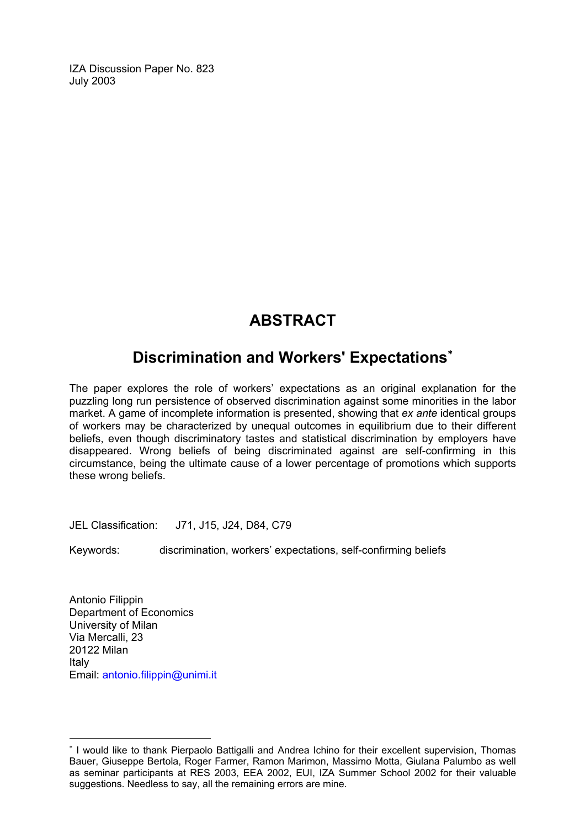IZA Discussion Paper No. 823 July 2003

# **ABSTRACT**

# **Discrimination and Workers' Expectations**[∗](#page-2-0)

The paper explores the role of workers' expectations as an original explanation for the puzzling long run persistence of observed discrimination against some minorities in the labor market. A game of incomplete information is presented, showing that *ex ante* identical groups of workers may be characterized by unequal outcomes in equilibrium due to their different beliefs, even though discriminatory tastes and statistical discrimination by employers have disappeared. Wrong beliefs of being discriminated against are self-confirming in this circumstance, being the ultimate cause of a lower percentage of promotions which supports these wrong beliefs.

JEL Classification: J71, J15, J24, D84, C79

Keywords: discrimination, workers' expectations, self-confirming beliefs

Antonio Filippin Department of Economics University of Milan Via Mercalli, 23 20122 Milan Italy Email: [antonio.filippin@unimi.it](mailto:Antonio.filippin@unimi.it)

 $\overline{a}$ 

<span id="page-2-0"></span><sup>∗</sup> I would like to thank Pierpaolo Battigalli and Andrea Ichino for their excellent supervision, Thomas Bauer, Giuseppe Bertola, Roger Farmer, Ramon Marimon, Massimo Motta, Giulana Palumbo as well as seminar participants at RES 2003, EEA 2002, EUI, IZA Summer School 2002 for their valuable suggestions. Needless to say, all the remaining errors are mine.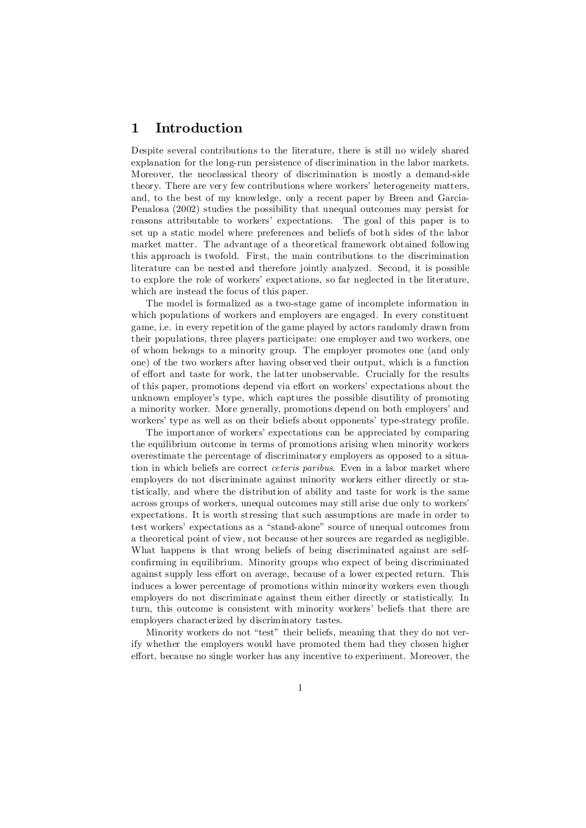# 1 Introduction

Despite several contributions to the literature, there is still no widely shared explanation for the long-run persistence of discrimination in the labor markets. Moreover, the neoclassical theory of discrimination is mostly a demand-side theory. There are very few contributions where workers' heterogeneity matters, and, to the best of my knowledge, only a recent paper by Breen and Garcia-Penalosa (2002) studies the possibility that unequal outcomes may persist for reasons attributable to workers' expectations. The goal of this paper is to set up a static model where preferences and beliefs of both sides of the labor market matter. The advantage of a theoretical framework obtained following this approach is twofold. First, the main contributions to the discrimination literature can be nested and therefore jointly analyzed. Second, it is possible to explore the role of workers' expectations, so far neglected in the literature, which are instead the focus of this paper.

The model is formalized as a two-stage game of incomplete information in which populations of workers and employers are engaged. In every constituent game, i.e. in every repetition of the game played by actors randomly drawn from their populations, three players participate: one employer and two workers, one of whom belongs to a minority group. The employer promotes one (and only one) of the two workers after having observed their output, which is a function of effort and taste for work, the latter unobservable. Crucially for the results of this paper, promotions depend via effort on workers' expectations about the unknown employer's type, which captures the possible disutility of promoting a minority worker. More generally, promotions depend on both employers' and workers' type as well as on their beliefs about opponents' type-strategy profile.

The importance of workers' expectations can be appreciated by comparing the equilibrium outcome in terms of promotions arising when minority workers overestimate the percentage of discriminatory employers as opposed to a situation in which beliefs are correct ceteris paribus. Even in a labor market where employers do not discriminate against minority workers either directly or statistically, and where the distribution of ability and taste for work is the same across groups of workers, unequal outcomes may still arise due only to workers' expectations. It is worth stressing that such assumptions are made in order to test workers' expectations as a "stand-alone" source of unequal outcomes from a theoretical point of view, not because other sources are regarded as negligible. What happens is that wrong beliefs of being discriminated against are selfconfirming in equilibrium. Minority groups who expect of being discriminated against supply less effort on average, because of a lower expected return. This induces a lower percentage of promotions within minority workers even though employers do not discriminate against them either directly or statistically. In turn, this outcome is consistent with minority workers' beliefs that there are employers characterized by discriminatory tastes.

Minority workers do not "test" their beliefs, meaning that they do not verify whether the employers would have promoted them had they chosen higher effort, because no single worker has any incentive to experiment. Moreover, the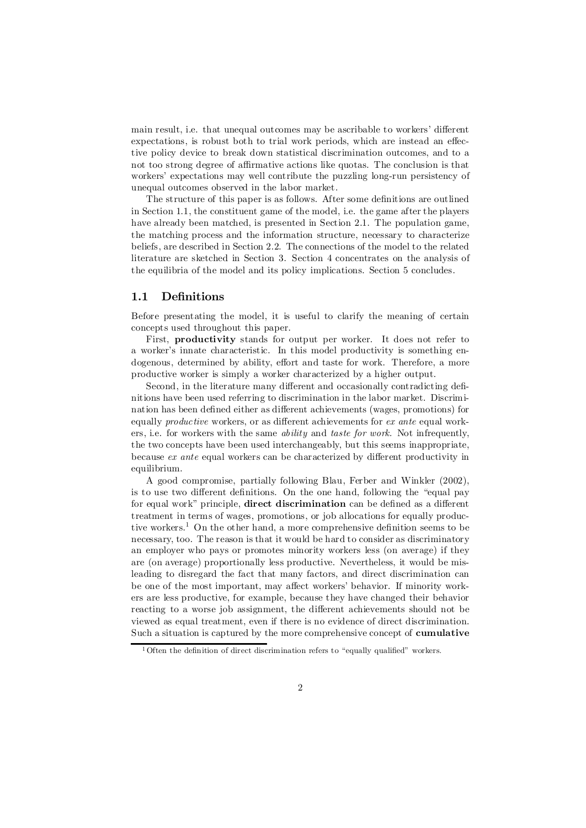main result, i.e. that unequal outcomes may be ascribable to workers' different expectations, is robust both to trial work periods, which are instead an effective policy device to break down statistical discrimination outcomes, and to a not too strong degree of affirmative actions like quotas. The conclusion is that workers' expectations may well contribute the puzzling long-run persistency of unequal outcomes observed in the labor market.

The structure of this paper is as follows. After some definitions are outlined in Section 1.1, the constituent game of the model, i.e. the game after the players have already been matched, is presented in Section 2.1. The population game, the matching process and the information structure, necessary to characterize beliefs, are described in Section 2.2. The connections of the model to the related literature are sketched in Section 3. Section 4 concentrates on the analysis of the equilibria of the model and its policy implications. Section 5 concludes.

# 1.1 Definitions

Before presentating the model, it is useful to clarify the meaning of certain concepts used throughout this paper.

First, productivity stands for output per worker. It does not refer to a worker's innate characteristic. In this model productivity is something endogenous, determined by ability, effort and taste for work. Therefore, a more productive worker is simply a worker characterized by a higher output.

Second, in the literature many different and occasionally contradicting definitions have been used referring to discrimination in the labor market. Discrimination has been defined either as different achievements (wages, promotions) for equally *productive* workers, or as different achievements for  $ex$  ante equal workers, i.e. for workers with the same ability and taste for work. Not infrequently, the two concepts have been used interchangeably, but this seems inappropriate, because  $ex$  ante equal workers can be characterized by different productivity in equilibrium.

A good compromise, partially following Blau, Ferber and Winkler (2002), is to use two different definitions. On the one hand, following the "equal pay for equal work" principle, **direct discrimination** can be defined as a different treatment in terms of wages, promotions, or job allocations for equally productive workers.<sup>1</sup> On the other hand, a more comprehensive definition seems to be necessary, too. The reason is that it would be hard to consider as discriminatory an employer who pays or promotes minority workers less (on average) if they are (on average) proportionally less productive. Nevertheless, it would be misleading to disregard the fact that many factors, and direct discrimination can be one of the most important, may affect workers' behavior. If minority workers are less productive, for example, because they have changed their behavior reacting to a worse job assignment, the different achievements should not be viewed as equal treatment, even if there is no evidence of direct discrimination. Such a situation is captured by the more comprehensive concept of cumulative

 $1$  Often the definition of direct discrimination refers to "equally qualified" workers.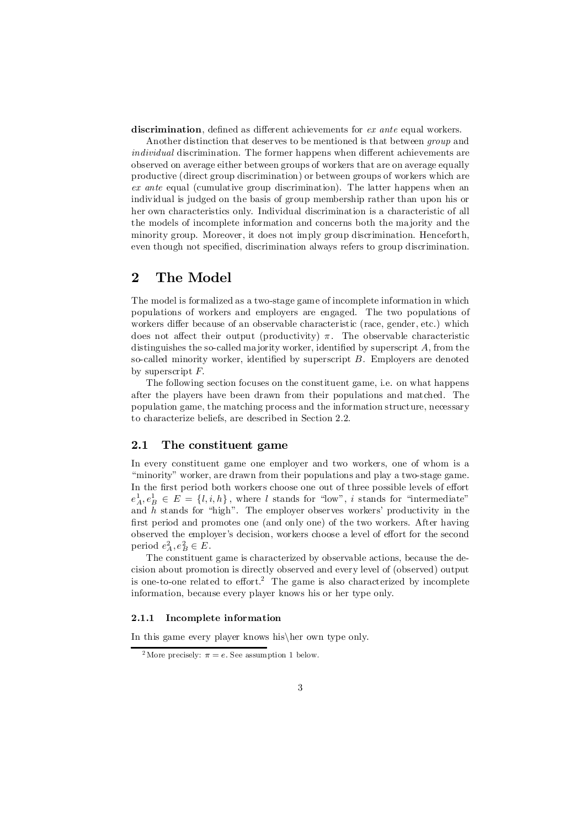discrimination, defined as different achievements for  $ex$  ante equal workers.

Another distinction that deserves to be mentioned is that between group and individual discrimination. The former happens when different achievements are observed on average either between groups of workers that are on average equally productive (direct group discrimination) or between groups of workers which are ex ante equal (cumulative group discrimination). The latter happens when an individual is judged on the basis of group membership rather than upon his or her own characteristics only. Individual discrimination is a characteristic of all the models of incomplete information and concerns both the majority and the minority group. Moreover, it does not imply group discrimination. Henceforth, even though not specified, discrimination always refers to group discrimination.

# 2 The Model

The model is formalized as a two-stage game of incomplete information in which populations of workers and employers are engaged. The two populations of workers differ because of an observable characteristic (race, gender, etc.) which does not affect their output (productivity)  $\pi$ . The observable characteristic distinguishes the so-called majority worker, identified by superscript  $A$ , from the so-called minority worker, identified by superscript  $B$ . Employers are denoted by superscript  $F$ .

The following section focuses on the constituent game, i.e. on what happens after the players have been drawn from their populations and matched. The population game, the matching process and the information structure, necessary to characterize beliefs, are described in Section 2.2.

# 2.1 The constituent game

In every constituent game one employer and two workers, one of whom is a "minority" worker, are drawn from their populations and play a two-stage game. In the first period both workers choose one out of three possible levels of effort  $e_A^1, e_B^1 \in E = \{l, i, h\}$ , where l stands for "low", i stands for "intermediate" and  $h$  stands for "high". The employer observes workers' productivity in the first period and promotes one (and only one) of the two workers. After having observed the employer's decision, workers choose a level of effort for the second period  $e_A^2, e_B^2 \in E$ .

The constituent game is characterized by observable actions, because the decision about promotion is directly observed and every level of (observed) output is one-to-one related to effort.<sup>2</sup> The game is also characterized by incomplete information, because every player knows his or her type only.

## 2.1.1 Incomplete information

In this game every player knows his her own type only.

<sup>&</sup>lt;sup>2</sup> More precisely:  $\pi = e$ . See assumption 1 below.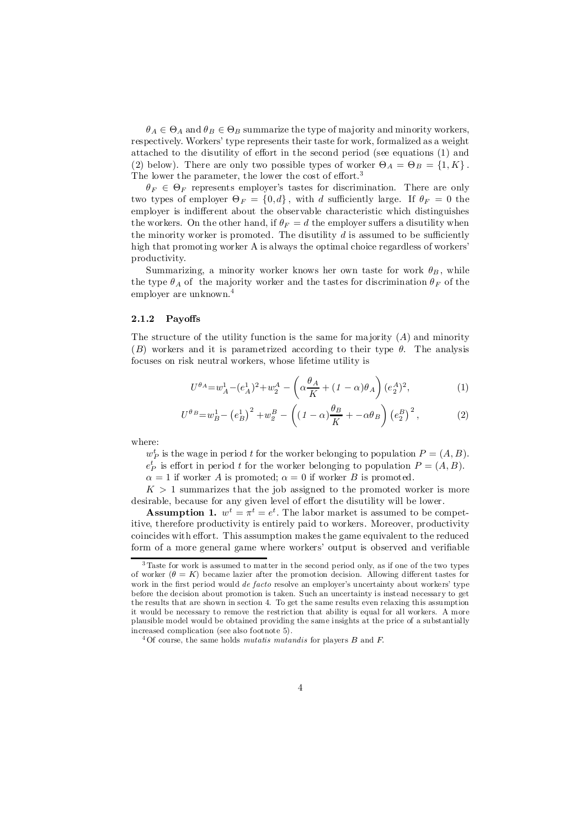$\theta_A \in \Theta_A$  and  $\theta_B \in \Theta_B$  summarize the type of majority and minority workers, respectively. Workers' type represents their taste for work, formalized as a weight attached to the disutility of effort in the second period (see equations (1) and (2) below). There are only two possible types of worker  $\Theta_A = \Theta_B = \{1, K\}$ . The lower the parameter, the lower the cost of effort.<sup>3</sup>

 $\theta_F \in \Theta_F$  represents employer's tastes for discrimination. There are only two types of employer  $\Theta_F = \{0, d\}$ , with d sufficiently large. If  $\theta_F = 0$  the employer is indifferent about the observable characteristic which distinguishes the workers. On the other hand, if  $\theta_F = d$  the employer suffers a disutility when the minority worker is promoted. The disutility  $d$  is assumed to be sufficiently high that promoting worker A is always the optimal choice regardless of workers' productivity.

Summarizing, a minority worker knows her own taste for work  $\theta_B$ , while the type  $\theta_A$  of the majority worker and the tastes for discrimination  $\theta_F$  of the employer are unknown. 4

#### $2.1.2$  Payoffs

The structure of the utility function is the same for majority  $(A)$  and minority (B) workers and it is parametrized according to their type  $\theta$ . The analysis focuses on risk neutral workers, whose lifetime utility is

$$
U^{\theta_A} = w_A^1 - (e_A^1)^2 + w_2^A - \left(\alpha \frac{\theta_A}{K} + (1 - \alpha)\theta_A\right)(e_A^A)^2, \tag{1}
$$

$$
U^{\theta_B} = w_B^1 - \left(e_B^1\right)^2 + w_g^B - \left(\left(1 - \alpha\right)\frac{\theta_B}{K} + \alpha\theta_B\right)\left(e_2^B\right)^2,\tag{2}
$$

where:

 $w_P^t$  is the wage in period t for the worker belonging to population  $P = (A, B)$ .  $e^t_P$  is effort in period t for the worker belonging to population  $P = (A, B)$ .

 $\alpha = 1$  if worker A is promoted;  $\alpha = 0$  if worker B is promoted.

 $K > 1$  summarizes that the job assigned to the promoted worker is more desirable, because for any given level of effort the disutility will be lower.

**Assumption 1.**  $w^t = \pi^t = e^t$ . The labor market is assumed to be competitive, therefore productivity is entirely paid to workers. Moreover, productivity coincides with effort. This assumption makes the game equivalent to the reduced form of a more general game where workers' output is observed and verifiable

<sup>3</sup> Taste for work is assumed to matter in the second period only, as if one of the two types of worker  $(\theta = K)$  became lazier after the promotion decision. Allowing different tastes for work in the first period would de facto resolve an employer's uncertainty about workers' type before the decision about promotion is taken. Such an uncertainty is instead necessary to get the results that are shown in section 4. To get the same results even relaxing this assumption it would be necessary to remove the restriction that ability is equal for all workers. A more plausible model would be obtained providing the same insights at the price of a substantially increased complication (see also footnote 5).

 $4$  Of course, the same holds *mutatis mutandis* for players B and F.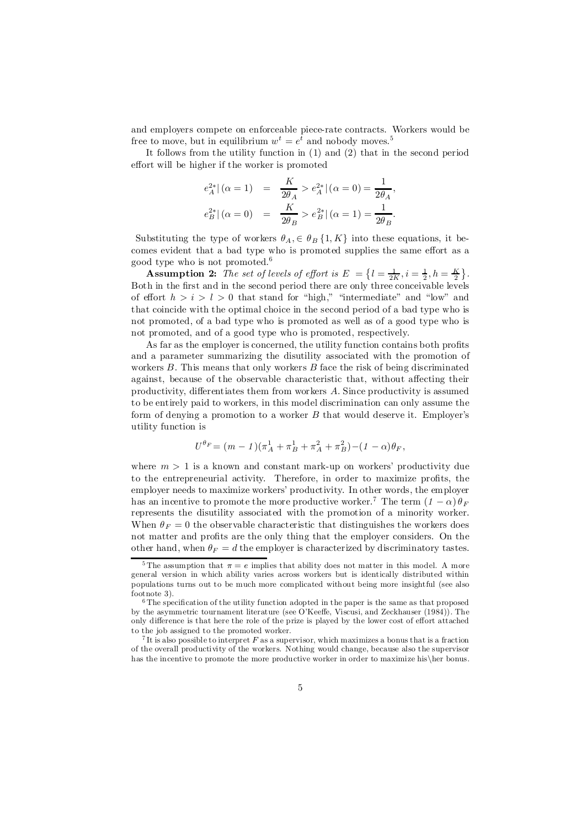and employers compete on enforceable piece-rate contracts. Workers would be free to move, but in equilibrium  $w^t = e^t$  and nobody moves.<sup>5</sup>

It follows from the utility function in (1) and (2) that in the second period effort will be higher if the worker is promoted

$$
e_A^{2*} | (\alpha = 1) = \frac{K}{2\theta_A} > e_A^{2*} | (\alpha = 0) = \frac{1}{2\theta_A},
$$
  

$$
e_B^{2*} | (\alpha = 0) = \frac{K}{2\theta_B} > e_B^{2*} | (\alpha = 1) = \frac{1}{2\theta_B}.
$$

Substituting the type of workers  $\theta_A$ ,  $\in \theta_B$  {1, K} into these equations, it becomes evident that a bad type who is promoted supplies the same effort as a good type who is not promoted. 6

**Assumption 2:** The set of levels of effort is  $E = \left\{l = \frac{1}{2K}, i = \frac{1}{2}, h = \frac{K}{2}\right\}.$ Both in the first and in the second period there are only three conceivable levels of effort  $h > i > l > 0$  that stand for "high," "intermediate" and "low" and that coincide with the optimal choice in the second period of a bad type who is not promoted, of a bad type who is promoted as well as of a good type who is not promoted, and of a good type who is promoted, respectively.

As far as the employer is concerned, the utility function contains both profits and a parameter summarizing the disutility associated with the promotion of workers  $B$ . This means that only workers  $B$  face the risk of being discriminated against, because of the observable characteristic that, without affecting their productivity, differentiates them from workers  $A$ . Since productivity is assumed to be entirely paid to workers, in this model discrimination can only assume the form of denying a promotion to a worker  $B$  that would deserve it. Employer's utility function is

$$
U^{\theta_F} = (m - 1)(\pi_A^1 + \pi_B^1 + \pi_A^2 + \pi_B^2) - (1 - \alpha)\theta_F,
$$

where  $m > 1$  is a known and constant mark-up on workers' productivity due to the entrepreneurial activity. Therefore, in order to maximize profits, the employer needs to maximize workers' productivity. In other words, the employer has an incentive to promote the more productive worker.<sup>7</sup> The term  $(1 - \alpha) \theta_F$ represents the disutility associated with the promotion of a minority worker: When  $\theta_F = 0$  the observable characteristic that distinguishes the workers does not matter and profits are the only thing that the employer considers. On the other hand, when  $\theta_F = d$  the employer is characterized by discriminatory tastes.

<sup>&</sup>lt;sup>5</sup> The assumption that  $\pi = e$  implies that ability does not matter in this model. A more general version in which ability varies across workers but is identically distributed within populations turns out to be much more complicated without being more insightful (see also footnote 3).

 $6$  The specification of the utility function adopted in the paper is the same as that proposed by the asymmetric tournament literature (see O'Kee¤e, Viscusi, and Zeckhauser (1984)). The only difference is that here the role of the prize is played by the lower cost of effort attached to the job assigned to the promoted worker.

<sup>&</sup>lt;sup>7</sup>It is also possible to interpret  $F$  as a supervisor, which maximizes a bonus that is a fraction of the overall productivity of the workers. Nothing would change, because also the supervisor has the incentive to promote the more productive worker in order to maximize his her bonus.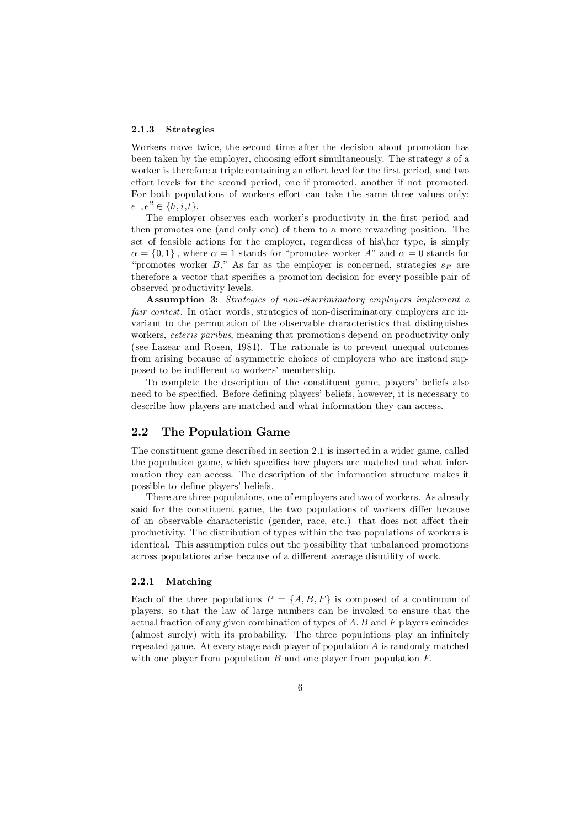#### 2.1.3 Strategies

Workers move twice, the second time after the decision about promotion has been taken by the employer, choosing effort simultaneously. The strategy s of a worker is therefore a triple containing an effort level for the first period, and two effort levels for the second period, one if promoted, another if not promoted. For both populations of workers effort can take the same three values only:  $e^1, e^2 \in \{h, i, l\}.$ 

The employer observes each worker's productivity in the first period and then promotes one (and only one) of them to a more rewarding position. The set of feasible actions for the employer, regardless of his $\ker$  type, is simply  $\alpha = \{0, 1\}$ , where  $\alpha = 1$  stands for "promotes worker A" and  $\alpha = 0$  stands for "promotes worker B." As far as the employer is concerned, strategies  $s_F$  are therefore a vector that specifies a promotion decision for every possible pair of observed productivity levels.

Assumption 3: Strategies of non-discriminatory employers implement a fair contest. In other words, strategies of non-discriminatory employers are invariant to the permutation of the observable characteristics that distinguishes workers, *ceteris paribus*, meaning that promotions depend on productivity only (see Lazear and Rosen, 1981). The rationale is to prevent unequal outcomes from arising because of asymmetric choices of employers who are instead supposed to be indifferent to workers' membership.

To complete the description of the constituent game, players' beliefs also need to be specified. Before defining players' beliefs, however, it is necessary to describe how players are matched and what information they can access.

## 2.2 The Population Game

The constituent game described in section 2.1 is inserted in a wider game, called the population game, which specifies how players are matched and what information they can access. The description of the information structure makes it possible to define players' beliefs.

There are three populations, one of employers and two of workers. As already said for the constituent game, the two populations of workers differ because of an observable characteristic (gender, race, etc.) that does not affect their productivity. The distribution of types within the two populations of workers is identical. This assumption rules out the possibility that unbalanced promotions across populations arise because of a di¤erent average disutility of work.

#### 2.2.1 Matching

Each of the three populations  $P = \{A, B, F\}$  is composed of a continuum of players, so that the law of large numbers can be invoked to ensure that the actual fraction of any given combination of types of  $A$ ,  $B$  and  $F$  players coincides  $(\text{almost surely})$  with its probability. The three populations play an infinitely repeated game. At every stage each player of population A is randomly matched with one player from population  $B$  and one player from population  $F$ .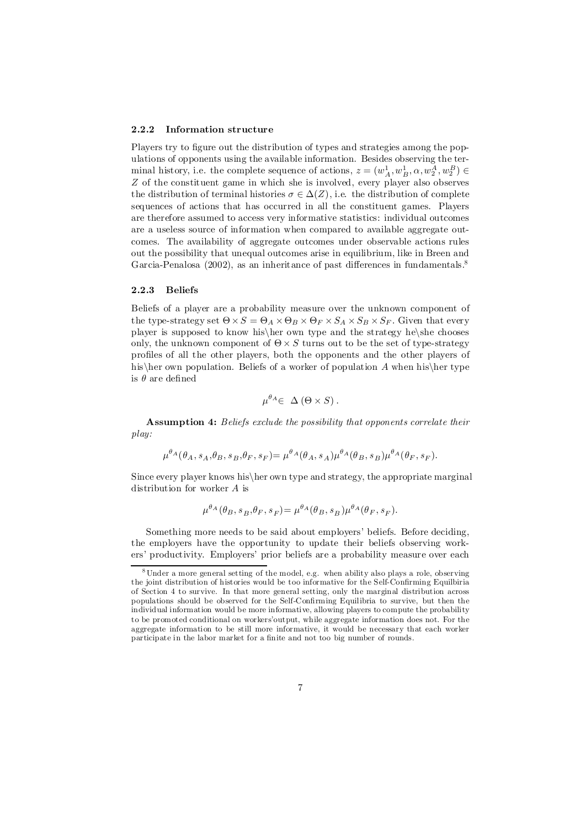#### 2.2.2 Information structure

Players try to figure out the distribution of types and strategies among the populations of opponents using the available information. Besides observing the terminal history, i.e. the complete sequence of actions,  $z = (w_A^1, w_B^1, \alpha, w_2^A, w_2^B) \in$ Z of the constituent game in which she is involved, every player also observes the distribution of terminal histories  $\sigma \in \Delta(Z)$ , i.e. the distribution of complete sequences of actions that has occurred in all the constituent games. Players are therefore assumed to access very informative statistics: individual outcomes are a useless source of information when compared to available aggregate outcomes. The availability of aggregate outcomes under observable actions rules out the possibility that unequal outcomes arise in equilibrium, like in Breen and Garcia-Penalosa (2002), as an inheritance of past differences in fundamentals.<sup>8</sup>

#### 2.2.3 Beliefs

Beliefs of a player are a probability measure over the unknown component of the type-strategy set  $\Theta \times S = \Theta_A \times \Theta_B \times \Theta_F \times S_A \times S_B \times S_F$ . Given that every player is supposed to know his her own type and the strategy he she chooses only, the unknown component of  $\Theta \times S$  turns out to be the set of type-strategy profiles of all the other players, both the opponents and the other players of his her own population. Beliefs of a worker of population A when his her type is  $\theta$  are defined

$$
\mu^{\theta_A} \in \Delta(\Theta \times S).
$$

Assumption 4: Beliefs exclude the possibility that opponents correlate their play:

$$
\mu^{\theta_A}(\theta_A, s_A, \theta_B, s_B, \theta_F, s_F) = \mu^{\theta_A}(\theta_A, s_A) \mu^{\theta_A}(\theta_B, s_B) \mu^{\theta_A}(\theta_F, s_F).
$$

Since every player knows his her own type and strategy, the appropriate marginal distribution for worker A is

$$
\mu^{\theta_A}(\theta_B, s_B, \theta_F, s_F) = \mu^{\theta_A}(\theta_B, s_B) \mu^{\theta_A}(\theta_F, s_F).
$$

Something more needs to be said about employers' beliefs. Before deciding, the employers have the opportunity to update their beliefs observing workers' productivity. Employers' prior beliefs are a probability measure over each

<sup>8</sup> Under a more general setting of the model, e.g. when ability also plays a role, observing the joint distribution of histories would be too informative for the Self-Confirming Equilbiria of Section 4 to survive. In that more general setting, only the marginal distribution across populations should be observed for the Self-Confirming Equilibria to survive, but then the individual information would be more informative, allowing players to compute the probability to be promoted conditional on workers'output, while aggregate information does not. For the aggregate information to be still more informative, it would be necessary that each worker participate in the labor market for a finite and not too big number of rounds.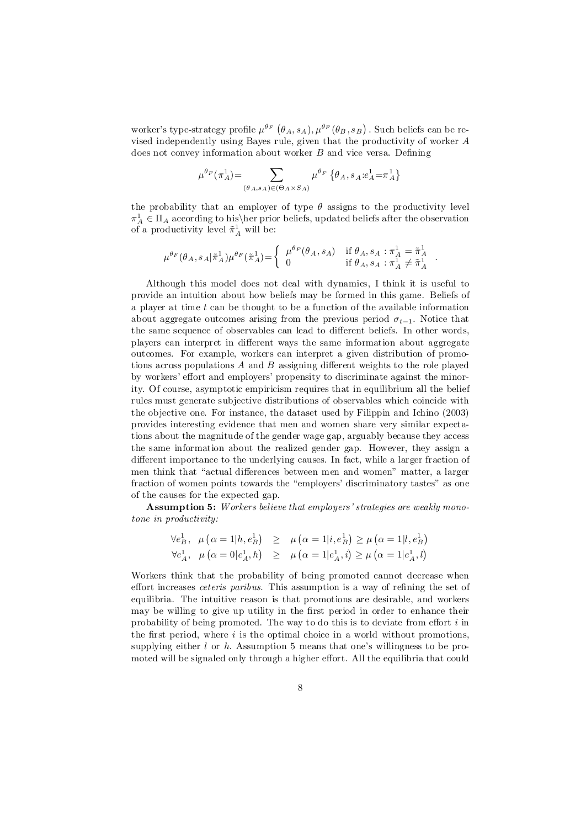worker's type-strategy profile  $\mu^{\theta_F}(\theta_A, s_A), \mu^{\theta_F}(\theta_B, s_B)$ . Such beliefs can be revised independently using Bayes rule, given that the productivity of worker A does not convey information about worker  $B$  and vice versa. Defining

$$
\mu^{\theta_F}(\pi_A^1)\!=\!\sum_{(\theta_A,s_A)\in(\Theta_A\times S_A)} \mu^{\theta_F}\left\{\theta_A,s_A\!:\!\!e_A^1\!=\!\pi_A^1\right\}
$$

the probability that an employer of type  $\theta$  assigns to the productivity level  $\pi_A^1 \in \Pi_A$  according to his her prior beliefs, updated beliefs after the observation of a productivity level  $\tilde{\pi}^1_A$  will be:

$$
\mu^{\theta_F}(\theta_A, s_A | \tilde{\pi}_A^1) \mu^{\theta_F}(\tilde{\pi}_A^1) {=} \left\{ \begin{array}{ll} \mu^{\theta_F}(\theta_A, s_A) & \text{if } \theta_A, s_A : \pi_A^1 = \tilde{\pi}_A^1 \\ 0 & \text{if } \theta_A, s_A : \pi_A^1 \neq \tilde{\pi}_A^1 \end{array} \right.
$$

:

Although this model does not deal with dynamics, I think it is useful to provide an intuition about how beliefs may be formed in this game. Beliefs of a player at time  $t$  can be thought to be a function of the available information about aggregate outcomes arising from the previous period  $\sigma_{t-1}$ . Notice that the same sequence of observables can lead to different beliefs. In other words, players can interpret in different ways the same information about aggregate outcomes. For example, workers can interpret a given distribution of promotions across populations  $A$  and  $B$  assigning different weights to the role played by workers' effort and employers' propensity to discriminate against the minority. Of course, asymptotic empiricism requires that in equilibrium all the belief rules must generate subjective distributions of observables which coincide with the objective one. For instance, the dataset used by Filippin and Ichino (2003) provides interesting evidence that men and women share very similar expectations about the magnitude of the gender wage gap, arguably because they access the same information about the realized gender gap. However, they assign a different importance to the underlying causes. In fact, while a larger fraction of men think that "actual differences between men and women" matter, a larger fraction of women points towards the "employers' discriminatory tastes" as one of the causes for the expected gap.

Assumption 5: Workers believe that employers' strategies are weakly monotone in productivity:

$$
\begin{array}{lll} \forall e^1_B, & \mu\left(\alpha=1|h,e^1_B\right) & \geq & \mu\left(\alpha=1|i,e^1_B\right) \geq \mu\left(\alpha=1|l,e^1_B\right) \\ \forall e^1_A, & \mu\left(\alpha=0|e^1_A,h\right) & \geq & \mu\left(\alpha=1|e^1_A,i\right) \geq \mu\left(\alpha=1|e^1_A,l\right) \end{array}
$$

Workers think that the probability of being promoted cannot decrease when effort increases *ceteris paribus*. This assumption is a way of refining the set of equilibria. The intuitive reason is that promotions are desirable, and workers may be willing to give up utility in the first period in order to enhance their probability of being promoted. The way to do this is to deviate from effort  $i$  in the first period, where  $i$  is the optimal choice in a world without promotions, supplying either  $l$  or  $h$ . Assumption 5 means that one's willingness to be promoted will be signaled only through a higher effort. All the equilibria that could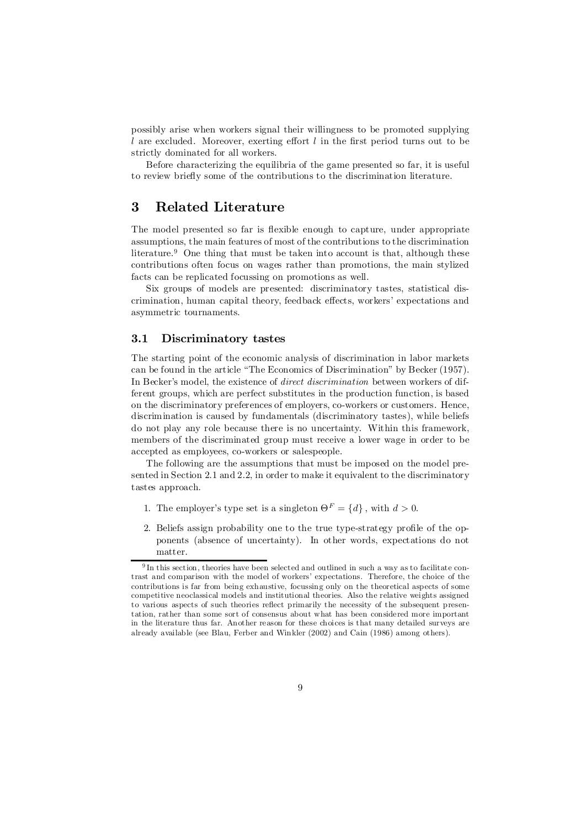possibly arise when workers signal their willingness to be promoted supplying  $l$  are excluded. Moreover, exerting effort  $l$  in the first period turns out to be strictly dominated for all workers.

Before characterizing the equilibria of the game presented so far, it is useful to review brie‡y some of the contributions to the discrimination literature.

# 3 Related Literature

The model presented so far is flexible enough to capture, under appropriate assumptions, the main features of most of the contributions to the discrimination literature. <sup>9</sup> One thing that must be taken into account is that, although these contributions often focus on wages rather than promotions, the main stylized facts can be replicated focussing on promotions as well.

Six groups of models are presented: discriminatory tastes, statistical discrimination, human capital theory, feedback effects, workers' expectations and asymmetric tournaments.

# 3.1 Discriminatory tastes

The starting point of the economic analysis of discrimination in labor markets can be found in the article "The Economics of Discrimination" by Becker (1957). In Becker's model, the existence of direct discrimination between workers of different groups, which are perfect substitutes in the production function, is based on the discriminatory preferences of employers, co-workers or customers. Hence, discrimination is caused by fundamentals (discriminatory tastes), while beliefs do not play any role because there is no uncertainty. Within this framework, members of the discriminated group must receive a lower wage in order to be accepted as employees, co-workers or salespeople.

The following are the assumptions that must be imposed on the model presented in Section 2.1 and 2.2, in order to make it equivalent to the discriminatory tastes approach.

- 1. The employer's type set is a singleton  $\Theta^F = \{d\}$ , with  $d > 0$ .
- 2. Beliefs assign probability one to the true type-strategy profile of the opponents (absence of uncertainty). In other words, expectations do not matter.

 $9 \text{ In this section, theories have been selected and outlined in such a way as to facilitate con-}$ trast and comparison with the model of workers' expectations. Therefore, the choice of the contributions is far from being exhaustive, focussing only on the theoretical aspects of some competitive neoclassical models and institutional theories. Also the relative weights assigned to various aspects of such theories reflect primarily the necessity of the subsequent presentation, rather than some sort of consensus about what has been considered more important in the literature thus far. Another reason for these choices is that many detailed surveys are already available (see Blau, Ferber and Winkler (2002) and Cain (1986) among others).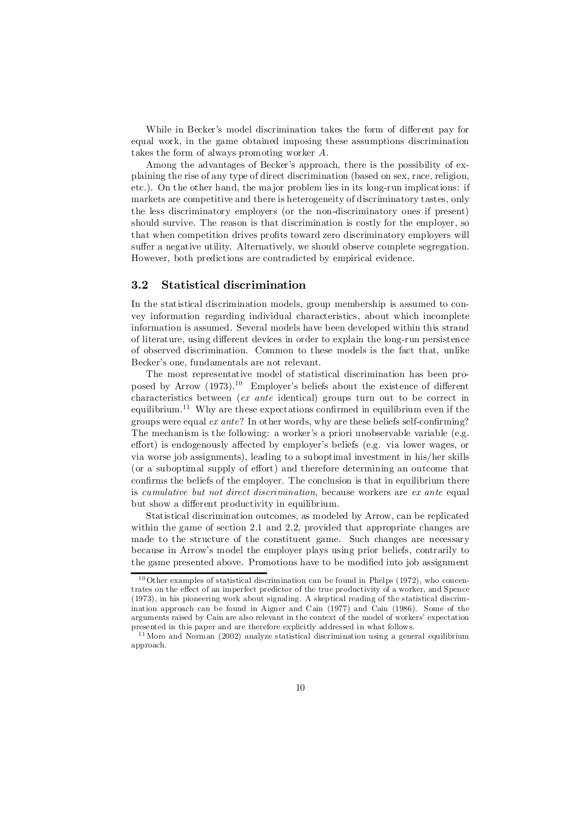While in Becker's model discrimination takes the form of different pay for equal work, in the game obtained imposing these assumptions discrimination takes the form of always promoting worker A:

Among the advantages of Becker's approach, there is the possibility of explaining the rise of any type of direct discrimination (based on sex, race, religion, etc.). On the other hand, the major problem lies in its long-run implications: if markets are competitive and there is heterogeneity of discriminatory tastes, only the less discriminatory employers (or the non-discriminatory ones if present) should survive. The reason is that discrimination is costly for the employer, so that when competition drives profits toward zero discriminatory employers will suffer a negative utility. Alternatively, we should observe complete segregation. However, both predictions are contradicted by empirical evidence.

# 3.2 Statistical discrimination

In the statistical discrimination models, group membership is assumed to convey information regarding individual characteristics, about which incomplete information is assumed. Several models have been developed within this strand of literature, using different devices in order to explain the long-run persistence of observed discrimination. Common to these models is the fact that, unlike Becker's one, fundamentals are not relevant.

The most representative model of statistical discrimination has been proposed by Arrow  $(1973).^{10}$  Employer's beliefs about the existence of different characteristics between (ex ante identical) groups turn out to be correct in equilibrium.<sup>11</sup> Why are these expectations confirmed in equilibrium even if the groups were equal  $ex$  ante? In other words, why are these beliefs self-confirming? The mechanism is the following: a worker's a priori unobservable variable (e.g. effort) is endogenously affected by employer's beliefs (e.g. via lower wages, or via worse job assignments), leading to a suboptimal investment in his/her skills (or a suboptimal supply of effort) and therefore determining an outcome that confirms the beliefs of the employer. The conclusion is that in equilibrium there is cumulative but not direct discrimination, because workers are ex ante equal but show a different productivity in equilibrium.

Statistical discrimination outcomes, as modeled by Arrow, can be replicated within the game of section 2.1 and 2.2, provided that appropriate changes are made to the structure of the constituent game. Such changes are necessary because in Arrow's model the employer plays using prior beliefs, contrarily to the game presented above. Promotions have to be modified into job assignment

 $10$  Other examples of statistical discrimination can be found in Phelps (1972), who concentrates on the effect of an imperfect predictor of the true productivity of a worker, and Spence (1973), in his pioneering work about signaling. A skeptical reading of the statistical discrimination approach can be found in Aigner and Cain (1977) and Cain (1986). Some of the arguments raised by Cain are also relevant in the context of the model of workers' expectation presented in this paper and are therefore explicitly addressed in what follows.

 $11$  Moro and Norman (2002) analyze statistical discrimination using a general equilibrium approach.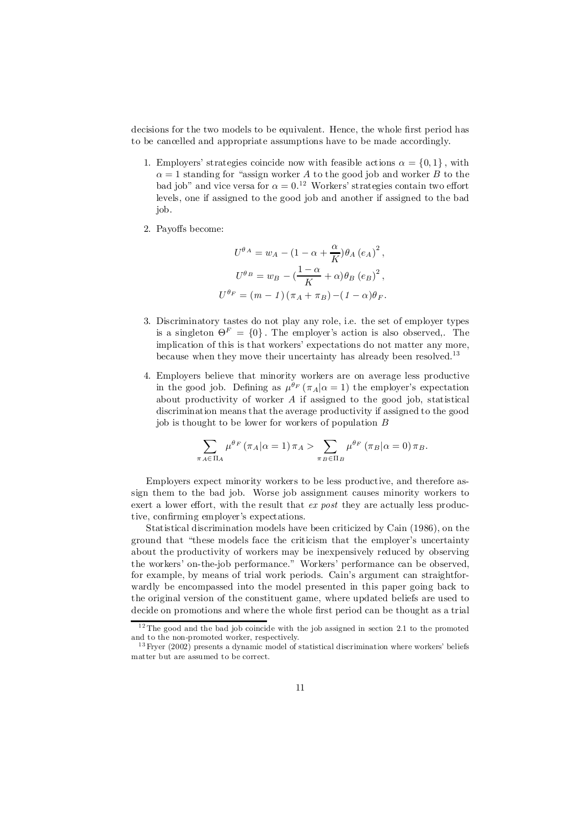decisions for the two models to be equivalent. Hence, the whole first period has to be cancelled and appropriate assumptions have to be made accordingly.

- 1. Employers' strategies coincide now with feasible actions  $\alpha = \{0, 1\}$ , with  $\alpha = 1$  standing for "assign worker A to the good job and worker B to the bad job" and vice versa for  $\alpha = 0.12$  Workers' strategies contain two effort levels, one if assigned to the good job and another if assigned to the bad job.
- 2. Payoffs become:

$$
U^{\theta A} = w_A - (1 - \alpha + \frac{\alpha}{K})\theta_A (e_A)^2,
$$
  

$$
U^{\theta B} = w_B - (\frac{1 - \alpha}{K} + \alpha)\theta_B (e_B)^2,
$$
  

$$
U^{\theta F} = (m - 1)(\pi_A + \pi_B) - (1 - \alpha)\theta_F.
$$

- 3. Discriminatory tastes do not play any role, i.e. the set of employer types is a singleton  $\Theta^F = \{0\}$ . The employer's action is also observed,. The implication of this is that workers' expectations do not matter any more, because when they move their uncertainty has already been resolved.<sup>13</sup>
- 4. Employers believe that minority workers are on average less productive in the good job. Defining as  $\mu^{\theta_F}(\pi_A|\alpha=1)$  the employer's expectation about productivity of worker  $A$  if assigned to the good job, statistical discrimination means that the average productivity if assigned to the good job is thought to be lower for workers of population B

$$
\sum_{\pi_A \in \Pi_A} \mu^{\theta_F} (\pi_A | \alpha = 1) \pi_A > \sum_{\pi_B \in \Pi_B} \mu^{\theta_F} (\pi_B | \alpha = 0) \pi_B.
$$

Employers expect minority workers to be less productive, and therefore assign them to the bad job. Worse job assignment causes minority workers to exert a lower effort, with the result that  $ex$  post they are actually less productive, confirming employer's expectations.

Statistical discrimination models have been criticized by Cain (1986), on the ground that "these models face the criticism that the employer's uncertainty about the productivity of workers may be inexpensively reduced by observing the workers' on-the-job performance." Workers' performance can be observed, for example, by means of trial work periods. Cain's argument can straightforwardly be encompassed into the model presented in this paper going back to the original version of the constituent game, where updated beliefs are used to decide on promotions and where the whole first period can be thought as a trial

<sup>&</sup>lt;sup>12</sup> The good and the bad job coincide with the job assigned in section 2.1 to the promoted and to the non-promoted worker, respectively.

 $13$  Fryer (2002) presents a dynamic model of statistical discrimination where workers' beliefs matter but are assumed to be correct.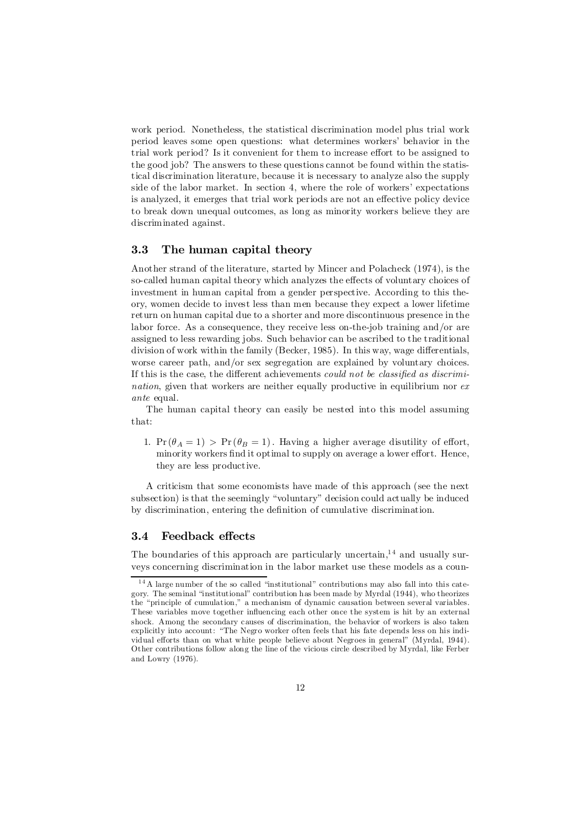work period. Nonetheless, the statistical discrimination model plus trial work period leaves some open questions: what determines workers' behavior in the trial work period? Is it convenient for them to increase effort to be assigned to the good job? The answers to these questions cannot be found within the statistical discrimination literature, because it is necessary to analyze also the supply side of the labor market. In section 4, where the role of workers' expectations is analyzed, it emerges that trial work periods are not an effective policy device to break down unequal outcomes, as long as minority workers believe they are discriminated against.

# 3.3 The human capital theory

Another strand of the literature, started by Mincer and Polacheck (1974), is the so-called human capital theory which analyzes the effects of voluntary choices of investment in human capital from a gender perspective. According to this theory, women decide to invest less than men because they expect a lower lifetime return on human capital due to a shorter and more discontinuous presence in the labor force. As a consequence, they receive less on-the-job training and/or are assigned to less rewarding jobs. Such behavior can be ascribed to the traditional division of work within the family (Becker,  $1985$ ). In this way, wage differentials, worse career path, and/or sex segregation are explained by voluntary choices. If this is the case, the different achievements could not be classified as discrimination, given that workers are neither equally productive in equilibrium nor  $ex$ ante equal.

The human capital theory can easily be nested into this model assuming that:

1.  $Pr(\theta_A = 1) > Pr(\theta_B = 1)$ . Having a higher average disutility of effort, minority workers find it optimal to supply on average a lower effort. Hence, they are less productive.

A criticism that some economists have made of this approach (see the next subsection) is that the seemingly "voluntary" decision could actually be induced by discrimination, entering the definition of cumulative discrimination.

# 3.4 Feedback effects

The boundaries of this approach are particularly uncertain,  $14$  and usually surveys concerning discrimination in the labor market use these models as a coun-

<sup>14</sup> A large number of the so called "institutional" contributions may also fall into this category. The seminal "institutional" contribution has been made by Myrdal (1944), who theorizes the "principle of cumulation," a mechanism of dynamic causation between several variables. These variables move together influencing each other once the system is hit by an external shock. Among the secondary causes of discrimination, the behavior of workers is also taken explicitly into account: "The Negro worker often feels that his fate depends less on his individual efforts than on what white people believe about Negroes in general" (Myrdal, 1944). Other contributions follow along the line of the vicious circle described by Myrdal, like Ferber and Lowry (1976).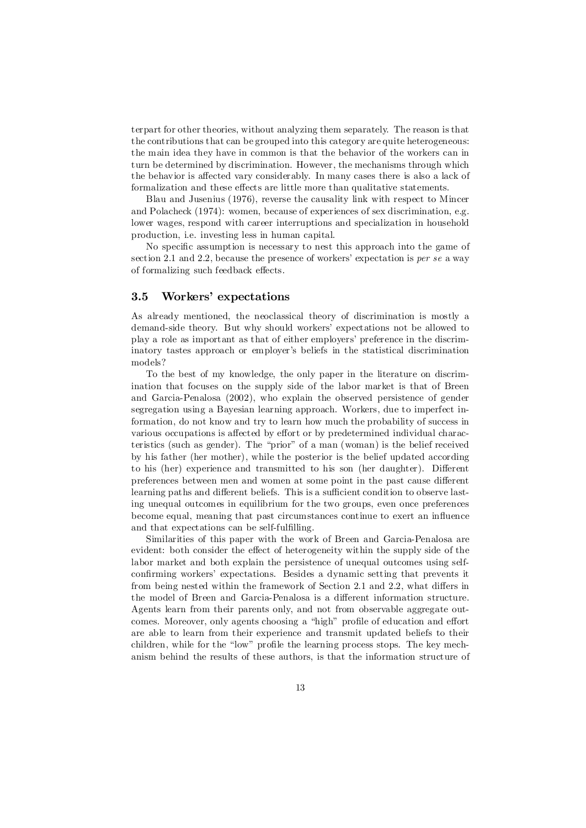terpart for other theories, without analyzing them separately. The reason is that the contributions that can be grouped into this category are quite heterogeneous: the main idea they have in common is that the behavior of the workers can in turn be determined by discrimination. However, the mechanisms through which the behavior is affected vary considerably. In many cases there is also a lack of formalization and these effects are little more than qualitative statements.

Blau and Jusenius (1976), reverse the causality link with respect to Mincer and Polacheck (1974): women, because of experiences of sex discrimination, e.g. lower wages, respond with career interruptions and specialization in household production, i.e. investing less in human capital.

No specific assumption is necessary to nest this approach into the game of section 2.1 and 2.2, because the presence of workers' expectation is per se a way of formalizing such feedback effects.

# 3.5 Workers' expectations

As already mentioned, the neoclassical theory of discrimination is mostly a demand-side theory. But why should workers' expectations not be allowed to play a role as important as that of either employers' preference in the discriminatory tastes approach or employer's beliefs in the statistical discrimination models?

To the best of my knowledge, the only paper in the literature on discrimination that focuses on the supply side of the labor market is that of Breen and Garcia-Penalosa (2002), who explain the observed persistence of gender segregation using a Bayesian learning approach. Workers, due to imperfect information, do not know and try to learn how much the probability of success in various occupations is affected by effort or by predetermined individual characteristics (such as gender). The "prior" of a man (woman) is the belief received by his father (her mother), while the posterior is the belief updated according to his (her) experience and transmitted to his son (her daughter). Different preferences between men and women at some point in the past cause different learning paths and different beliefs. This is a sufficient condition to observe lasting unequal outcomes in equilibrium for the two groups, even once preferences become equal, meaning that past circumstances continue to exert an influence and that expectations can be self-fulfilling.

Similarities of this paper with the work of Breen and Garcia-Penalosa are evident: both consider the effect of heterogeneity within the supply side of the labor market and both explain the persistence of unequal outcomes using selfconfirming workers' expectations. Besides a dynamic setting that prevents it from being nested within the framework of Section 2.1 and 2.2, what differs in the model of Breen and Garcia-Penalosa is a different information structure. Agents learn from their parents only, and not from observable aggregate outcomes. Moreover, only agents choosing a "high" profile of education and effort are able to learn from their experience and transmit updated beliefs to their children, while for the "low" profile the learning process stops. The key mechanism behind the results of these authors, is that the information structure of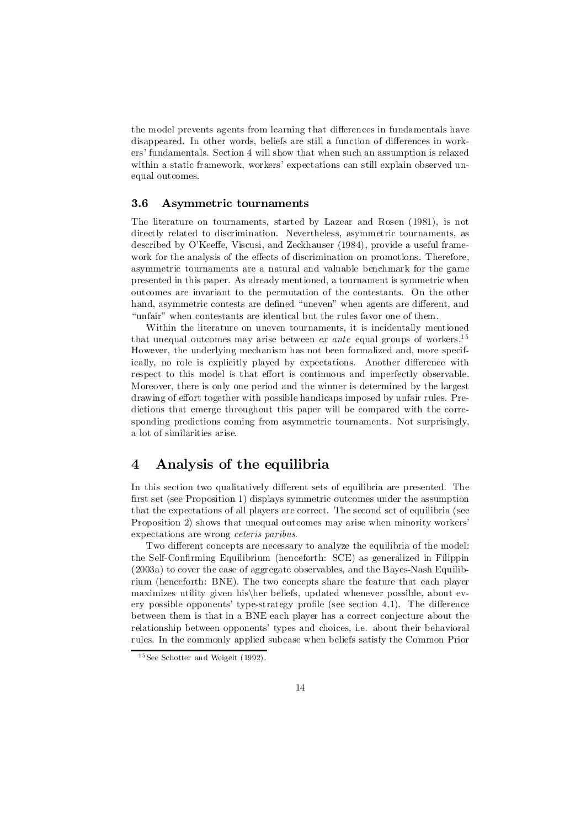the model prevents agents from learning that differences in fundamentals have disappeared. In other words, beliefs are still a function of differences in workers' fundamentals. Section 4 will show that when such an assumption is relaxed within a static framework, workers' expectations can still explain observed unequal outcomes.

### 3.6 Asymmetric tournaments

The literature on tournaments, started by Lazear and Rosen (1981), is not directly related to discrimination. Nevertheless, asymmetric tournaments, as described by O'Keeffe, Viscusi, and Zeckhauser (1984), provide a useful framework for the analysis of the effects of discrimination on promotions. Therefore, asymmetric tournaments are a natural and valuable benchmark for the game presented in this paper. As already mentioned, a tournament is symmetric when outcomes are invariant to the permutation of the contestants. On the other hand, asymmetric contests are defined "uneven" when agents are different, and "unfair" when contestants are identical but the rules favor one of them.

Within the literature on uneven tournaments, it is incidentally mentioned that unequal outcomes may arise between *ex ante* equal groups of workers.<sup>15</sup> However, the underlying mechanism has not been formalized and, more specifically, no role is explicitly played by expectations. Another difference with respect to this model is that effort is continuous and imperfectly observable. Moreover, there is only one period and the winner is determined by the largest drawing of effort together with possible handicaps imposed by unfair rules. Predictions that emerge throughout this paper will be compared with the corresponding predictions coming from asymmetric tournaments. Not surprisingly, a lot of similarities arise.

# 4 Analysis of the equilibria

In this section two qualitatively different sets of equilibria are presented. The first set (see Proposition 1) displays symmetric outcomes under the assumption that the expectations of all players are correct. The second set of equilibria (see Proposition 2) shows that unequal outcomes may arise when minority workers' expectations are wrong ceteris paribus.

Two different concepts are necessary to analyze the equilibria of the model: the Self-Confirming Equilibrium (henceforth: SCE) as generalized in Filippin (2003a) to cover the case of aggregate observables, and the Bayes-Nash Equilibrium (henceforth: BNE). The two concepts share the feature that each player maximizes utility given his her beliefs, updated whenever possible, about every possible opponents' type-strategy profile (see section 4.1). The difference between them is that in a BNE each player has a correct conjecture about the relationship between opponents' types and choices, i.e. about their behavioral rules. In the commonly applied subcase when beliefs satisfy the Common Prior

<sup>15</sup> See Schotter and Weigelt (1992).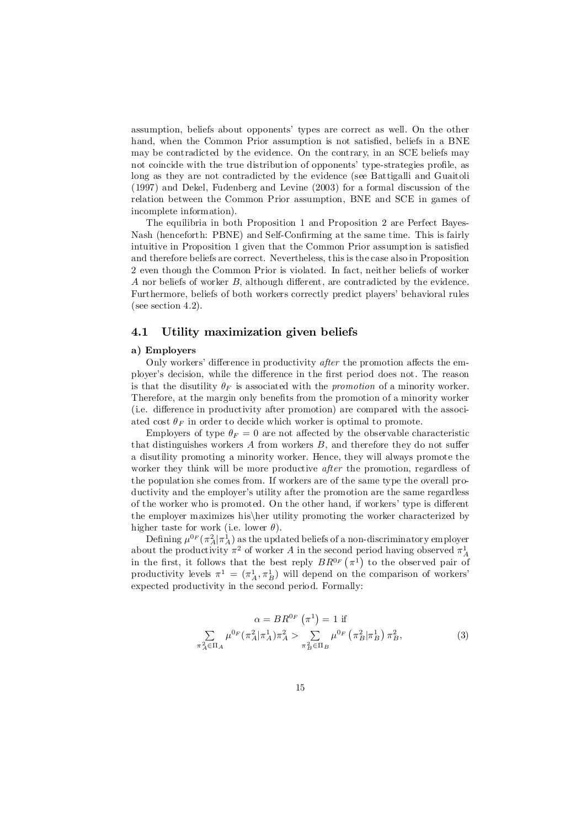assumption, beliefs about opponents' types are correct as well. On the other hand, when the Common Prior assumption is not satisfied, beliefs in a BNE may be contradicted by the evidence. On the contrary, in an SCE beliefs may not coincide with the true distribution of opponents' type-strategies profile, as long as they are not contradicted by the evidence (see Battigalli and Guaitoli (1997) and Dekel, Fudenberg and Levine (2003) for a formal discussion of the relation between the Common Prior assumption, BNE and SCE in games of incomplete information).

The equilibria in both Proposition 1 and Proposition 2 are Perfect Bayes-Nash (henceforth: PBNE) and Self-Confirming at the same time. This is fairly intuitive in Proposition 1 given that the Common Prior assumption is satisfied and therefore beliefs are correct. Nevertheless, this is the case also in Proposition 2 even though the Common Prior is violated. In fact, neither beliefs of worker A nor beliefs of worker  $B$ , although different, are contradicted by the evidence. Furthermore, beliefs of both workers correctly predict players' behavioral rules (see section 4.2).

# 4.1 Utility maximization given beliefs

#### a) Employers

Only workers' difference in productivity *after* the promotion affects the employer's decision, while the difference in the first period does not. The reason is that the disutility  $\theta_F$  is associated with the *promotion* of a minority worker. Therefore, at the margin only benefits from the promotion of a minority worker (i.e. difference in productivity after promotion) are compared with the associated cost  $\theta_F$  in order to decide which worker is optimal to promote.

Employers of type  $\theta_F = 0$  are not affected by the observable characteristic that distinguishes workers  $A$  from workers  $B$ , and therefore they do not suffer a disutility promoting a minority worker: Hence, they will always promote the worker they think will be more productive *after* the promotion, regardless of the population she comes from. If workers are of the same type the overall productivity and the employer's utility after the promotion are the same regardless of the worker who is promoted. On the other hand, if workers' type is different the employer maximizes his her utility promoting the worker characterized by higher taste for work (i.e. lower  $\theta$ ).

Defining  $\mu^{0_F}(\pi_A^2|\pi_A^1)$  as the updated beliefs of a non-discriminatory employer about the productivity  $\pi^2$  of worker A in the second period having observed  $\pi_A^1$ in the first, it follows that the best reply  $BR^{0}F(\pi^1)$  to the observed pair of productivity levels  $\pi^1 = (\pi_A^1, \pi_B^1)$  will depend on the comparison of workers' expected productivity in the second period. Formally:

$$
\alpha = BR^{0F} \left( \pi^1 \right) = 1 \text{ if}
$$
  

$$
\sum_{\pi_A^2 \in \Pi_A} \mu^{0F} (\pi_A^2 | \pi_A^1) \pi_A^2 > \sum_{\pi_B^2 \in \Pi_B} \mu^{0F} \left( \pi_B^2 | \pi_B^1 \right) \pi_B^2,
$$
 (3)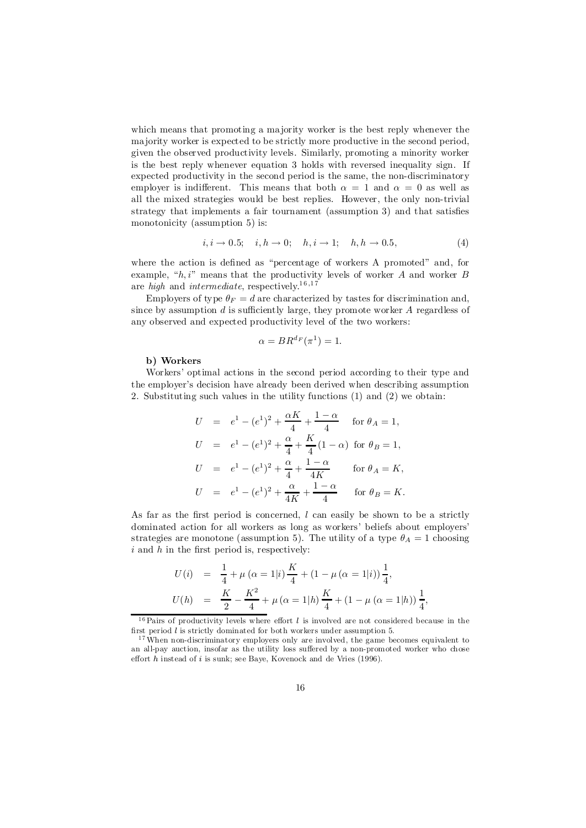which means that promoting a majority worker is the best reply whenever the majority worker is expected to be strictly more productive in the second period, given the observed productivity levels. Similarly, promoting a minority worker is the best reply whenever equation 3 holds with reversed inequality sign. If expected productivity in the second period is the same, the non-discriminatory employer is indifferent. This means that both  $\alpha = 1$  and  $\alpha = 0$  as well as all the mixed strategies would be best replies. However, the only non-trivial strategy that implements a fair tournament (assumption 3) and that satisfies monotonicity (assumption 5) is:

$$
i, i \to 0.5; \quad i, h \to 0; \quad h, i \to 1; \quad h, h \to 0.5,
$$
 (4)

where the action is defined as "percentage of workers A promoted" and, for example, " $h, i$ " means that the productivity levels of worker A and worker B are *high* and *intermediate*, respectively.<sup>16,17</sup>

Employers of type  $\theta_F = d$  are characterized by tastes for discrimination and, since by assumption  $d$  is sufficiently large, they promote worker  $A$  regardless of any observed and expected productivity level of the two workers:

$$
\alpha = BR^{d_F}(\pi^1) = 1.
$$

#### b) Workers

Workers' optimal actions in the second period according to their type and the employer's decision have already been derived when describing assumption 2. Substituting such values in the utility functions (1) and (2) we obtain:

$$
U = e1 - (e1)2 + \frac{\alpha K}{4} + \frac{1 - \alpha}{4} \quad \text{for } \theta_A = 1,
$$
  
\n
$$
U = e1 - (e1)2 + \frac{\alpha}{4} + \frac{K}{4}(1 - \alpha) \quad \text{for } \theta_B = 1,
$$
  
\n
$$
U = e1 - (e1)2 + \frac{\alpha}{4} + \frac{1 - \alpha}{4K} \quad \text{for } \theta_A = K,
$$
  
\n
$$
U = e1 - (e1)2 + \frac{\alpha}{4K} + \frac{1 - \alpha}{4} \quad \text{for } \theta_B = K.
$$

As far as the first period is concerned,  $l$  can easily be shown to be a strictly dominated action for all workers as long as workers' beliefs about employers' strategies are monotone (assumption 5). The utility of a type  $\theta_A = 1$  choosing  $i$  and  $h$  in the first period is, respectively:

$$
U(i) = \frac{1}{4} + \mu (\alpha = 1|i) \frac{K}{4} + (1 - \mu (\alpha = 1|i)) \frac{1}{4},
$$
  

$$
U(h) = \frac{K}{2} - \frac{K^2}{4} + \mu (\alpha = 1|h) \frac{K}{4} + (1 - \mu (\alpha = 1|h)) \frac{1}{4},
$$

<sup>&</sup>lt;sup>16</sup> Pairs of productivity levels where effort  $l$  is involved are not considered because in the first period  $l$  is strictly dominated for both workers under assumption 5.

<sup>&</sup>lt;sup>17</sup> When non-discriminatory employers only are involved, the game becomes equivalent to an all-pay auction, insofar as the utility loss suffered by a non-promoted worker who chose effort  $h$  instead of  $i$  is sunk; see Baye, Kovenock and de Vries (1996).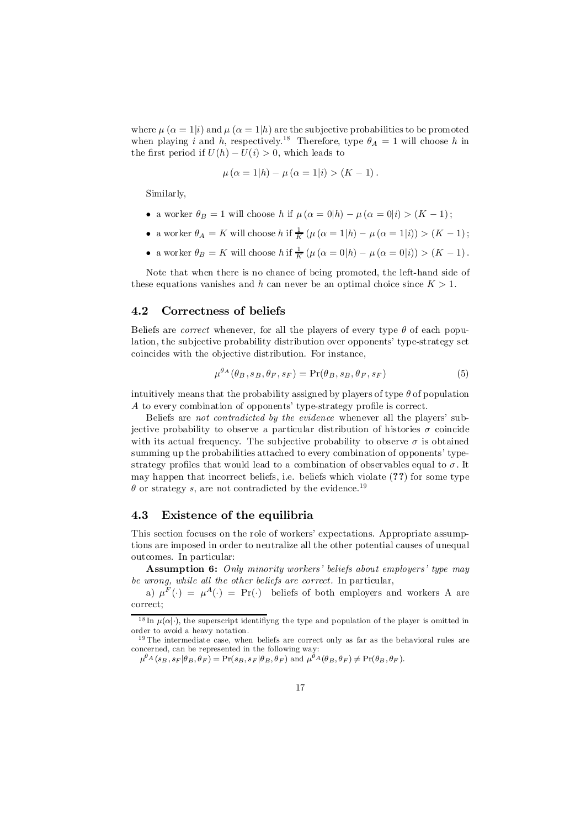where  $\mu$   $(\alpha = 1|i)$  and  $\mu$   $(\alpha = 1|h)$  are the subjective probabilities to be promoted when playing i and h, respectively.<sup>18</sup> Therefore, type  $\theta_A = 1$  will choose h in the first period if  $U(h) - U(i) > 0$ , which leads to

$$
\mu (\alpha = 1|h) - \mu (\alpha = 1|i) > (K - 1).
$$

Similarly,

- a worker  $\theta_B = 1$  will choose h if  $\mu(\alpha = 0|h) \mu(\alpha = 0|i) > (K 1);$
- a worker  $\theta_A = K$  will choose h if  $\frac{1}{K} (\mu (\alpha = 1|h) \mu (\alpha = 1|i)) > (K 1);$
- a worker  $\theta_B = K$  will choose h if  $\frac{1}{K} (\mu (\alpha = 0|h) \mu (\alpha = 0|i)) > (K 1)$ .

Note that when there is no chance of being promoted, the left-hand side of these equations vanishes and h can never be an optimal choice since  $K > 1$ .

## 4.2 Correctness of beliefs

Beliefs are *correct* whenever, for all the players of every type  $\theta$  of each population, the subjective probability distribution over opponents' type-strategy set coincides with the objective distribution. For instance,

$$
\mu^{\theta_A}(\theta_B, s_B, \theta_F, s_F) = \Pr(\theta_B, s_B, \theta_F, s_F)
$$
\n(5)

intuitively means that the probability assigned by players of type  $\theta$  of population A to every combination of opponents' type-strategy profile is correct.

Beliefs are not contradicted by the evidence whenever all the players' subjective probability to observe a particular distribution of histories  $\sigma$  coincide with its actual frequency. The subjective probability to observe  $\sigma$  is obtained summing up the probabilities attached to every combination of opponents' typestrategy profiles that would lead to a combination of observables equal to  $\sigma$ . It may happen that incorrect beliefs, i.e. beliefs which violate (??) for some type  $\theta$  or strategy s, are not contradicted by the evidence.<sup>19</sup>

# 4.3 Existence of the equilibria

This section focuses on the role of workers' expectations. Appropriate assumptions are imposed in order to neutralize all the other potential causes of unequal outcomes. In particular:

**Assumption 6:** Only minority workers' beliefs about employers' type may be wrong, while all the other beliefs are correct. In particular,

a)  $\mu^F(\cdot) = \mu^A(\cdot) = \Pr(\cdot)$  beliefs of both employers and workers A are correct;

<sup>&</sup>lt;sup>18</sup> In  $\mu(\alpha|\cdot)$ , the superscript identifying the type and population of the player is omitted in order to avoid a heavy notation.

<sup>&</sup>lt;sup>19</sup> The intermediate case, when beliefs are correct only as far as the behavioral rules are concerned, can be represented in the following way:

 $\mu^{\theta_{A}}(s_{B}, s_{F}|\theta_{B}, \theta_{F}) = \text{Pr}(s_{B}, s_{F}|\theta_{B}, \theta_{F})$  and  $\mu^{\theta_{A}}(\theta_{B}, \theta_{F}) \neq \text{Pr}(\theta_{B}, \theta_{F}).$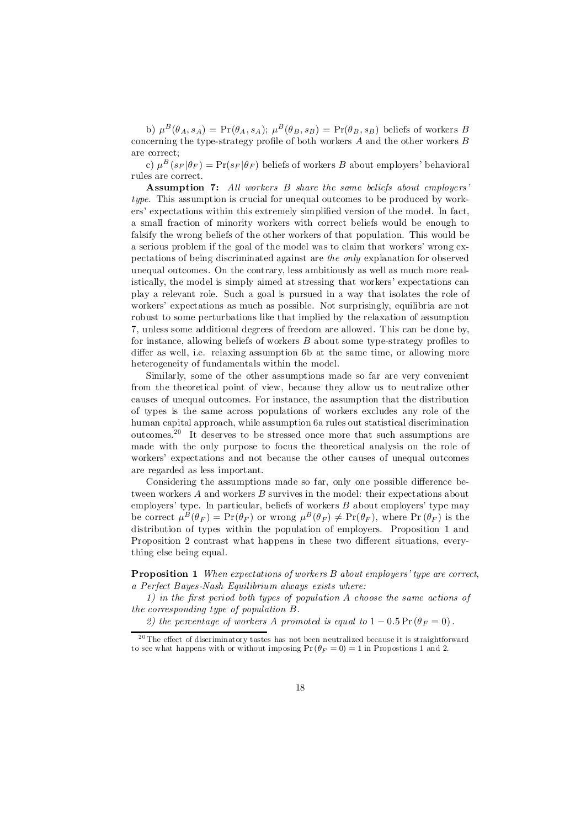b)  $\mu^B(\theta_A, s_A) = \Pr(\theta_A, s_A); \ \mu^B(\theta_B, s_B) = \Pr(\theta_B, s_B)$  beliefs of workers B concerning the type-strategy profile of both workers  $A$  and the other workers  $B$ are correct;

c)  $\mu^B(s_F|\theta_F) = \Pr(s_F|\theta_F)$  beliefs of workers B about employers' behavioral rules are correct.

Assumption 7: All workers B share the same beliefs about employers' type. This assumption is crucial for unequal outcomes to be produced by workers' expectations within this extremely simplified version of the model. In fact, a small fraction of minority workers with correct beliefs would be enough to falsify the wrong beliefs of the other workers of that population. This would be a serious problem if the goal of the model was to claim that workers' wrong expectations of being discriminated against are the only explanation for observed unequal outcomes. On the contrary, less ambitiously as well as much more realistically, the model is simply aimed at stressing that workers' expectations can play a relevant role. Such a goal is pursued in a way that isolates the role of workers' expectations as much as possible. Not surprisingly, equilibria are not robust to some perturbations like that implied by the relaxation of assumption 7, unless some additional degrees of freedom are allowed. This can be done by, for instance, allowing beliefs of workers  $B$  about some type-strategy profiles to differ as well, i.e. relaxing assumption 6b at the same time, or allowing more heterogeneity of fundamentals within the model.

Similarly, some of the other assumptions made so far are very convenient from the theoretical point of view, because they allow us to neutralize other causes of unequal outcomes. For instance, the assumption that the distribution of types is the same across populations of workers excludes any role of the human capital approach, while assumption 6a rules out statistical discrimination outcomes. 20 It deserves to be stressed once more that such assumptions are made with the only purpose to focus the theoretical analysis on the role of workers' expectations and not because the other causes of unequal outcomes are regarded as less important.

Considering the assumptions made so far, only one possible difference between workers A and workers B survives in the model: their expectations about employers' type. In particular, beliefs of workers  $B$  about employers' type may be correct  $\mu^B(\theta_F) = \Pr(\theta_F)$  or wrong  $\mu^B(\theta_F) \neq \Pr(\theta_F)$ , where  $\Pr(\theta_F)$  is the distribution of types within the population of employers. Proposition 1 and Proposition 2 contrast what happens in these two different situations, everything else being equal.

**Proposition 1** When expectations of workers B about employers' type are correct, a Perfect Bayes-Nash Equilibrium always exists where:

1) in the first period both types of population  $A$  choose the same actions of the corresponding type of population  $B$ .

2) the percentage of workers A promoted is equal to  $1 - 0.5 \Pr(\theta_F = 0)$ .

 $20$  The effect of discriminatory tastes has not been neutralized because it is straightforward to see what happens with or without imposing  $Pr(\theta_F = 0) = 1$  in Propostions 1 and 2.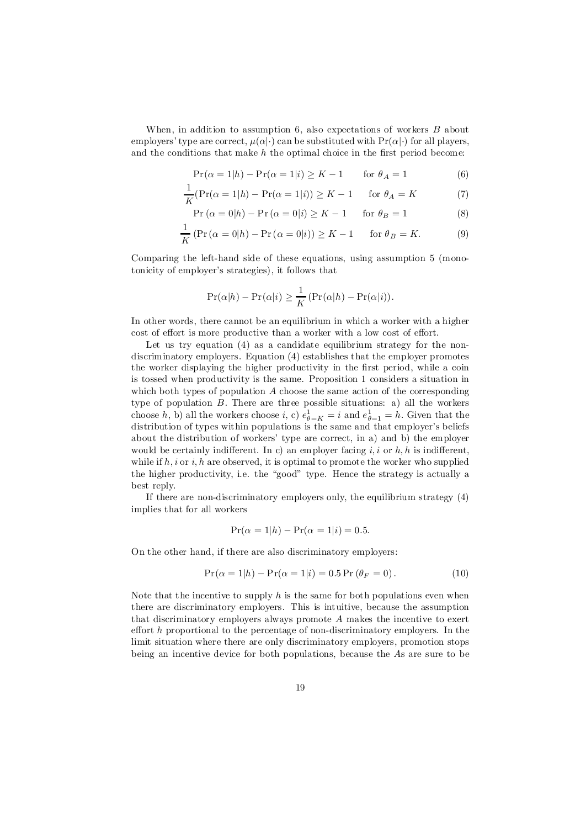When, in addition to assumption  $6$ , also expectations of workers  $B$  about employers' type are correct,  $\mu(\alpha|\cdot)$  can be substituted with  $Pr(\alpha|\cdot)$  for all players, and the conditions that make  $h$  the optimal choice in the first period become:

$$
\Pr(\alpha = 1|h) - \Pr(\alpha = 1|i) \ge K - 1 \quad \text{for } \theta_A = 1 \tag{6}
$$

$$
\frac{1}{K}(\Pr(\alpha = 1|h) - \Pr(\alpha = 1|i)) \ge K - 1 \quad \text{for } \theta_A = K \tag{7}
$$

$$
Pr(\alpha = 0|h) - Pr(\alpha = 0|i) \ge K - 1 \quad \text{for } \theta_B = 1
$$
 (8)

$$
\frac{1}{K} \left( \Pr\left( \alpha = 0 | h \right) - \Pr\left( \alpha = 0 | i \right) \right) \ge K - 1 \quad \text{for } \theta_B = K. \tag{9}
$$

Comparing the left-hand side of these equations, using assumption 5 (monotonicity of employer's strategies), it follows that

$$
\Pr(\alpha|h) - \Pr(\alpha|i) \ge \frac{1}{K} (\Pr(\alpha|h) - \Pr(\alpha|i)).
$$

In other words, there cannot be an equilibrium in which a worker with a higher cost of effort is more productive than a worker with a low cost of effort.

Let us try equation  $(4)$  as a candidate equilibrium strategy for the nondiscriminatory employers. Equation (4) establishes that the employer promotes the worker displaying the higher productivity in the first period, while a coin is tossed when productivity is the same. Proposition 1 considers a situation in which both types of population  $A$  choose the same action of the corresponding type of population  $B$ . There are three possible situations: a) all the workers choose h, b) all the workers choose i, c)  $e_{\theta=K}^1 = i$  and  $e_{\theta=1}^1 = h$ . Given that the distribution of types within populations is the same and that employer's beliefs about the distribution of workers' type are correct, in a) and b) the employer would be certainly indifferent. In c) an employer facing i, i or h, h is indifferent. while if  $h, i$  or  $i, h$  are observed, it is optimal to promote the worker who supplied the higher productivity, i.e. the "good" type. Hence the strategy is actually a best reply.

If there are non-discriminatory employers only, the equilibrium strategy (4) implies that for all workers

$$
Pr(\alpha = 1 | h) - Pr(\alpha = 1 | i) = 0.5.
$$

On the other hand, if there are also discriminatory employers:

$$
Pr(\alpha = 1|h) - Pr(\alpha = 1|i) = 0.5 Pr(\theta_F = 0).
$$
 (10)

Note that the incentive to supply  $h$  is the same for both populations even when there are discriminatory employers. This is intuitive, because the assumption that discriminatory employers always promote A makes the incentive to exert effort  $h$  proportional to the percentage of non-discriminatory employers. In the limit situation where there are only discriminatory employers, promotion stops being an incentive device for both populations, because the As are sure to be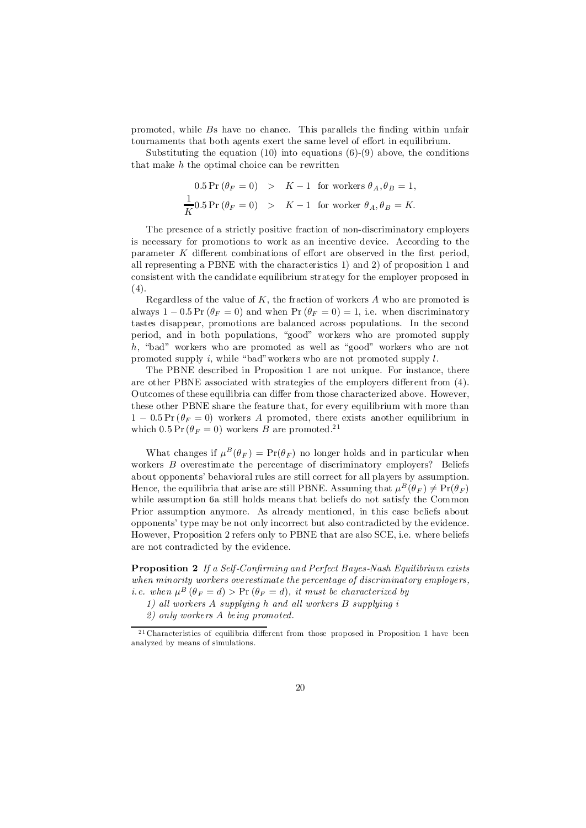promoted, while Bs have no chance. This parallels the finding within unfair tournaments that both agents exert the same level of effort in equilibrium.

Substituting the equation  $(10)$  into equations  $(6)-(9)$  above, the conditions that make  $h$  the optimal choice can be rewritten

$$
0.5 \Pr(\theta_F = 0) > K - 1 \text{ for workers } \theta_A, \theta_B = 1,
$$
  

$$
\frac{1}{K} 0.5 \Pr(\theta_F = 0) > K - 1 \text{ for worker } \theta_A, \theta_B = K.
$$

The presence of a strictly positive fraction of non-discriminatory employers is necessary for promotions to work as an incentive device. According to the parameter  $K$  different combinations of effort are observed in the first period, all representing a PBNE with the characteristics 1) and 2) of proposition 1 and consistent with the candidate equilibrium strategy for the employer proposed in  $(4).$ 

Regardless of the value of  $K$ , the fraction of workers  $A$  who are promoted is always  $1 - 0.5 \Pr(\theta_F = 0)$  and when  $\Pr(\theta_F = 0) = 1$ , i.e. when discriminatory tastes disappear, promotions are balanced across populations. In the second period, and in both populations, "good" workers who are promoted supply h; "bad" workers who are promoted as well as "good" workers who are not promoted supply  $i$ , while "bad" workers who are not promoted supply  $l$ .

The PBNE described in Proposition 1 are not unique. For instance, there are other PBNE associated with strategies of the employers different from  $(4)$ . Outcomes of these equilibria can differ from those characterized above. However, these other PBNE share the feature that, for every equilibrium with more than  $1 - 0.5 \Pr(\theta_F = 0)$  workers A promoted, there exists another equilibrium in which  $0.5 \Pr(\theta_F = 0)$  workers B are promoted.<sup>21</sup>

What changes if  $\mu^B(\theta_F) = \Pr(\theta_F)$  no longer holds and in particular when workers B overestimate the percentage of discriminatory employers? Beliefs about opponents' behavioral rules are still correct for all players by assumption. Hence, the equilibria that arise are still PBNE. Assuming that  $\mu^B(\theta_F) \neq \Pr(\theta_F)$ while assumption 6a still holds means that beliefs do not satisfy the Common Prior assumption anymore. As already mentioned, in this case beliefs about opponents' type may be not only incorrect but also contradicted by the evidence. However, Proposition 2 refers only to PBNE that are also SCE, i.e. where beliefs are not contradicted by the evidence.

**Proposition 2** If a Self-Confirming and Perfect Bayes-Nash Equilibrium exists when minority workers overestimate the percentage of discriminatory employers, *i.e.* when  $\mu^B(\theta_F = d) > \Pr(\theta_F = d)$ , it must be characterized by

1) all workers A supplying h and all workers B supplying i

2) only workers A being promoted.

 $21$  Characteristics of equilibria different from those proposed in Proposition 1 have been analyzed by means of simulations.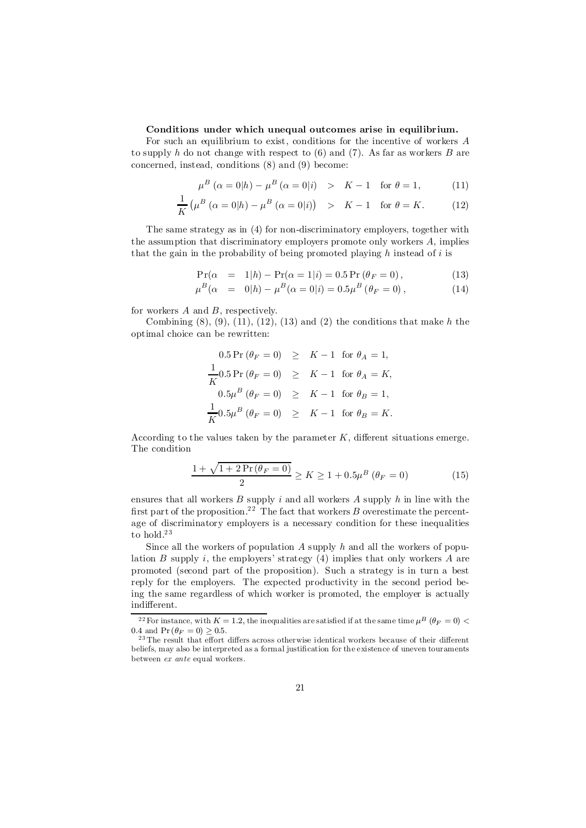### Conditions under which unequal outcomes arise in equilibrium.

For such an equilibrium to exist, conditions for the incentive of workers A to supply h do not change with respect to  $(6)$  and  $(7)$ . As far as workers B are concerned, instead, conditions (8) and (9) become:

$$
\mu^B \left( \alpha = 0 | h \right) - \mu^B \left( \alpha = 0 | i \right) \quad > \quad K - 1 \quad \text{for } \theta = 1,\tag{11}
$$

$$
\frac{1}{K} \left( \mu^B \left( \alpha = 0 | h \right) - \mu^B \left( \alpha = 0 | i \right) \right) \quad > \quad K - 1 \quad \text{for } \theta = K. \tag{12}
$$

The same strategy as in (4) for non-discriminatory employers, together with the assumption that discriminatory employers promote only workers  $A$ , implies that the gain in the probability of being promoted playing  $h$  instead of  $i$  is

$$
Pr(\alpha = 1|h) - Pr(\alpha = 1|i) = 0.5 Pr(\theta_F = 0),
$$
\n(13)

$$
\mu^{B}(\alpha = 0|h) - \mu^{B}(\alpha = 0|i) = 0.5\mu^{B}(\theta_{F} = 0), \qquad (14)
$$

for workers  $A$  and  $B$ , respectively.

Combining  $(8)$ ,  $(9)$ ,  $(11)$ ,  $(12)$ ,  $(13)$  and  $(2)$  the conditions that make h the optimal choice can be rewritten:

$$
0.5 \Pr(\theta_F = 0) \geq K - 1 \text{ for } \theta_A = 1,
$$
  
\n
$$
\frac{1}{K} 0.5 \Pr(\theta_F = 0) \geq K - 1 \text{ for } \theta_A = K,
$$
  
\n
$$
0.5\mu^B(\theta_F = 0) \geq K - 1 \text{ for } \theta_B = 1,
$$
  
\n
$$
\frac{1}{K} 0.5\mu^B(\theta_F = 0) \geq K - 1 \text{ for } \theta_B = K.
$$

According to the values taken by the parameter  $K$ , different situations emerge. The condition

$$
\frac{1 + \sqrt{1 + 2\Pr(\theta_F = 0)}}{2} \ge K \ge 1 + 0.5\mu^B(\theta_F = 0)
$$
 (15)

ensures that all workers  $B$  supply  $i$  and all workers  $A$  supply  $h$  in line with the first part of the proposition.<sup>22</sup> The fact that workers B overestimate the percentage of discriminatory employers is a necessary condition for these inequalities to  $hold.^23$ 

Since all the workers of population  $A$  supply  $h$  and all the workers of population B supply i, the employers' strategy  $(4)$  implies that only workers A are promoted (second part of the proposition). Such a strategy is in turn a best reply for the employers. The expected productivity in the second period being the same regardless of which worker is promoted, the employer is actually indifferent.

<sup>&</sup>lt;sup>22</sup> For instance, with  $K = 1.2$ , the inequalities are satisfied if at the same time  $\mu^B$  ( $\theta_F = 0$ ) < 0.4 and  $Pr(\theta_F = 0) \ge 0.5$ .

 $23$  The result that effort differs across otherwise identical workers because of their different beliefs, may also be interpreted as a formal justification for the existence of uneven touraments between ex ante equal workers.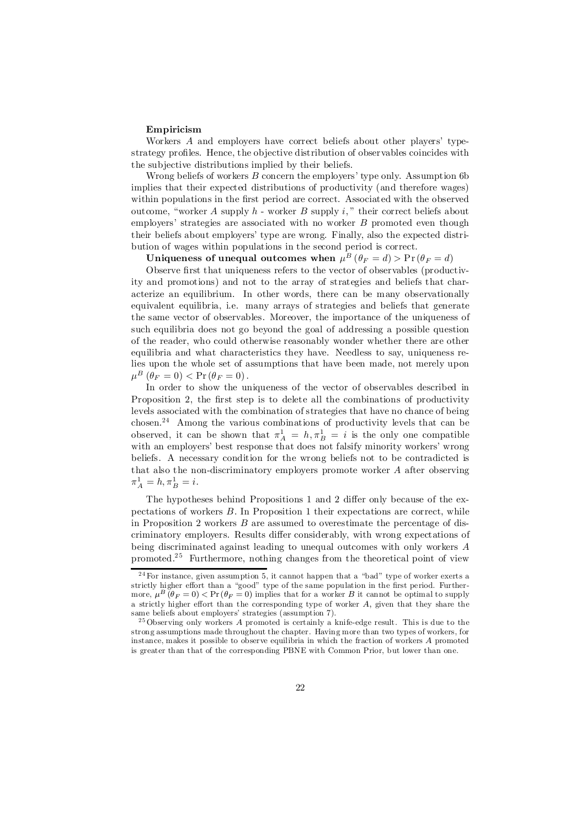#### Empiricism

Workers A and employers have correct beliefs about other players' typestrategy profiles. Hence, the objective distribution of observables coincides with the subjective distributions implied by their beliefs.

Wrong beliefs of workers  $B$  concern the employers' type only. Assumption 6b implies that their expected distributions of productivity (and therefore wages) within populations in the first period are correct. Associated with the observed outcome, "worker A supply  $h$  - worker B supply i," their correct beliefs about employers' strategies are associated with no worker B promoted even though their beliefs about employers' type are wrong. Finally, also the expected distribution of wages within populations in the second period is correct.

Uniqueness of unequal outcomes when  $\mu^B\left(\theta_F=d\right)$  >  $\Pr\left(\theta_F=d\right)$ 

Observe first that uniqueness refers to the vector of observables (productivity and promotions) and not to the array of strategies and beliefs that characterize an equilibrium. In other words, there can be many observationally equivalent equilibria, i.e. many arrays of strategies and beliefs that generate the same vector of observables. Moreover, the importance of the uniqueness of such equilibria does not go beyond the goal of addressing a possible question of the reader, who could otherwise reasonably wonder whether there are other equilibria and what characteristics they have. Needless to say, uniqueness relies upon the whole set of assumptions that have been made, not merely upon  $\mu^B(\theta_F=0) < \Pr(\theta_F=0).$ 

In order to show the uniqueness of the vector of observables described in Proposition 2, the first step is to delete all the combinations of productivity levels associated with the combination of strategies that have no chance of being chosen. <sup>24</sup> Among the various combinations of productivity levels that can be observed, it can be shown that  $\pi_A^1 = h, \pi_B^1 = i$  is the only one compatible with an employers' best response that does not falsify minority workers' wrong beliefs. A necessary condition for the wrong beliefs not to be contradicted is that also the non-discriminatory employers promote worker A after observing  $\pi_A^1 = h, \pi_B^1 = i.$ 

The hypotheses behind Propositions 1 and 2 differ only because of the expectations of workers B: In Proposition 1 their expectations are correct, while in Proposition 2 workers B are assumed to overestimate the percentage of discriminatory employers. Results differ considerably, with wrong expectations of being discriminated against leading to unequal outcomes with only workers A promoted.<sup>25</sup> Furthermore, nothing changes from the theoretical point of view

 $24$  For instance, given assumption 5, it cannot happen that a "bad" type of worker exerts a strictly higher effort than a "good" type of the same population in the first period. Furthermore,  $\mu^B(\theta_F = 0) < Pr(\theta_F = 0)$  implies that for a worker B it cannot be optimal to supply a strictly higher effort than the corresponding type of worker  $A$ , given that they share the same beliefs about employers' strategies (assumption 7).

 $25$  Observing only workers A promoted is certainly a knife-edge result. This is due to the strong assumptions made throughout the chapter. Having more than two types of workers, for instance, makes it possible to observe equilibria in which the fraction of workers A promoted is greater than that of the corresponding PBNE with Common Prior, but lower than one.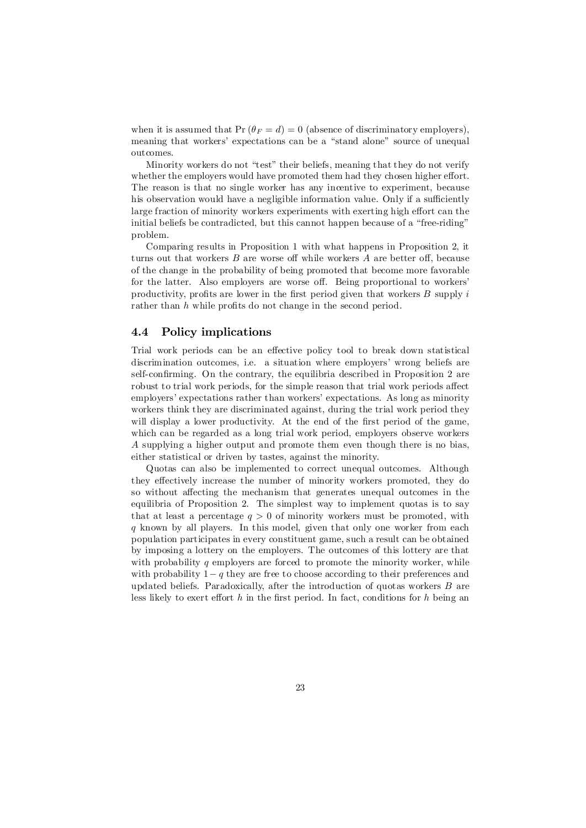when it is assumed that  $Pr(\theta_F = d) = 0$  (absence of discriminatory employers). meaning that workers' expectations can be a "stand alone" source of unequal outcomes.

Minority workers do not "test" their beliefs, meaning that they do not verify whether the employers would have promoted them had they chosen higher effort. The reason is that no single worker has any incentive to experiment, because his observation would have a negligible information value. Only if a sufficiently large fraction of minority workers experiments with exerting high effort can the initial beliefs be contradicted, but this cannot happen because of a "free-riding" problem.

Comparing results in Proposition 1 with what happens in Proposition 2, it turns out that workers  $B$  are worse off while workers  $A$  are better off, because of the change in the probability of being promoted that become more favorable for the latter. Also employers are worse off. Being proportional to workers' productivity, profits are lower in the first period given that workers  $B$  supply  $i$ rather than  $h$  while profits do not change in the second period.

# 4.4 Policy implications

Trial work periods can be an effective policy tool to break down statistical discrimination outcomes, i.e. a situation where employers' wrong beliefs are self-confirming. On the contrary, the equilibria described in Proposition 2 are robust to trial work periods, for the simple reason that trial work periods affect employers' expectations rather than workers' expectations. As long as minority workers think they are discriminated against, during the trial work period they will display a lower productivity. At the end of the first period of the game, which can be regarded as a long trial work period, employers observe workers A supplying a higher output and promote them even though there is no bias, either statistical or driven by tastes, against the minority.

Quotas can also be implemented to correct unequal outcomes. Although they effectively increase the number of minority workers promoted, they do so without affecting the mechanism that generates unequal outcomes in the equilibria of Proposition 2. The simplest way to implement quotas is to say that at least a percentage  $q > 0$  of minority workers must be promoted, with  $q$  known by all players. In this model, given that only one worker from each population participates in every constituent game, such a result can be obtained by imposing a lottery on the employers. The outcomes of this lottery are that with probability  $q$  employers are forced to promote the minority worker, while with probability  $1-q$  they are free to choose according to their preferences and updated beliefs. Paradoxically, after the introduction of quotas workers  $B$  are less likely to exert effort h in the first period. In fact, conditions for h being an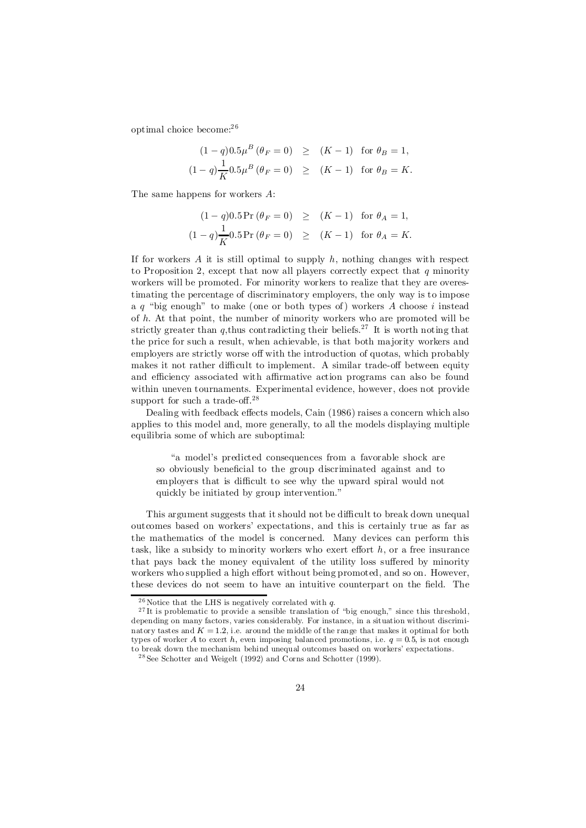optimal choice become: 2 6

$$
(1-q)0.5\mu^{B} (\theta_{F} = 0) \ge (K-1) \text{ for } \theta_{B} = 1,
$$
  

$$
(1-q)\frac{1}{K}0.5\mu^{B} (\theta_{F} = 0) \ge (K-1) \text{ for } \theta_{B} = K.
$$

The same happens for workers A:

$$
(1 - q)0.5 \Pr(\theta_F = 0) \ge (K - 1) \text{ for } \theta_A = 1,
$$
  

$$
(1 - q)\frac{1}{K}0.5 \Pr(\theta_F = 0) \ge (K - 1) \text{ for } \theta_A = K.
$$

If for workers A it is still optimal to supply h, nothing changes with respect to Proposition 2, except that now all players correctly expect that  $q$  minority workers will be promoted. For minority workers to realize that they are overestimating the percentage of discriminatory employers, the only way is to impose a  $q$  "big enough" to make (one or both types of) workers  $A$  choose i instead of h: At that point, the number of minority workers who are promoted will be strictly greater than q, thus contradicting their beliefs.<sup>27</sup> It is worth noting that the price for such a result, when achievable, is that both majority workers and employers are strictly worse off with the introduction of quotas, which probably makes it not rather difficult to implement. A similar trade-off between equity and efficiency associated with affirmative action programs can also be found within uneven tournaments. Experimental evidence, however, does not provide support for such a trade-off.<sup>28</sup>

Dealing with feedback effects models, Cain (1986) raises a concern which also applies to this model and, more generally, to all the models displaying multiple equilibria some of which are suboptimal:

"a model's predicted consequences from a favorable shock are so obviously beneficial to the group discriminated against and to employers that is difficult to see why the upward spiral would not quickly be initiated by group intervention."

This argument suggests that it should not be difficult to break down unequal outcomes based on workers' expectations, and this is certainly true as far as the mathematics of the model is concerned. Many devices can perform this task, like a subsidy to minority workers who exert effort  $h$ , or a free insurance that pays back the money equivalent of the utility loss suffered by minority workers who supplied a high effort without being promoted, and so on. However, these devices do not seem to have an intuitive counterpart on the field. The

 $^{26}$  Notice that the LHS is negatively correlated with q.

 $27$  It is problematic to provide a sensible translation of "big enough," since this threshold, depending on many factors, varies considerably. For instance, in a situation without discriminatory tastes and  $K = 1.2$ , i.e. around the middle of the range that makes it optimal for both types of worker A to exert h, even imposing balanced promotions, i.e.  $q = 0.5$ , is not enough to break down the mechanism behind unequal outcomes based on workers' expectations.

<sup>28</sup> See Schotter and Weigelt (1992) and Corns and Schotter (1999).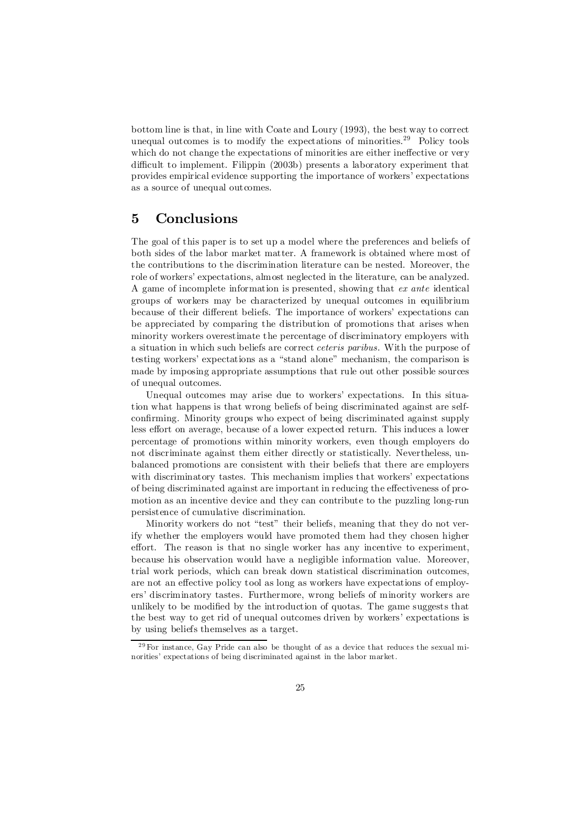bottom line is that, in line with Coate and Loury (1993), the best way to correct unequal outcomes is to modify the expectations of minorities.<sup>29</sup> Policy tools which do not change the expectations of minorities are either ineffective or very difficult to implement. Filippin (2003b) presents a laboratory experiment that provides empirical evidence supporting the importance of workers' expectations as a source of unequal outcomes.

# 5 Conclusions

The goal of this paper is to set up a model where the preferences and beliefs of both sides of the labor market matter. A framework is obtained where most of the contributions to the discrimination literature can be nested. Moreover, the role of workers' expectations, almost neglected in the literature, can be analyzed. A game of incomplete information is presented, showing that ex ante identical groups of workers may be characterized by unequal outcomes in equilibrium because of their different beliefs. The importance of workers' expectations can be appreciated by comparing the distribution of promotions that arises when minority workers overestimate the percentage of discriminatory employers with a situation in which such beliefs are correct ceteris paribus. With the purpose of testing workers' expectations as a "stand alone" mechanism, the comparison is made by imposing appropriate assumptions that rule out other possible sources of unequal outcomes.

Unequal outcomes may arise due to workers' expectations. In this situation what happens is that wrong beliefs of being discriminated against are selfconfirming. Minority groups who expect of being discriminated against supply less effort on average, because of a lower expected return. This induces a lower percentage of promotions within minority workers, even though employers do not discriminate against them either directly or statistically. Nevertheless, unbalanced promotions are consistent with their beliefs that there are employers with discriminatory tastes. This mechanism implies that workers' expectations of being discriminated against are important in reducing the effectiveness of promotion as an incentive device and they can contribute to the puzzling long-run persistence of cumulative discrimination.

Minority workers do not "test" their beliefs, meaning that they do not verify whether the employers would have promoted them had they chosen higher effort. The reason is that no single worker has any incentive to experiment, because his observation would have a negligible information value. Moreover, trial work periods, which can break down statistical discrimination outcomes, are not an effective policy tool as long as workers have expectations of employers' discriminatory tastes. Furthermore, wrong beliefs of minority workers are unlikely to be modified by the introduction of quotas. The game suggests that the best way to get rid of unequal outcomes driven by workers' expectations is by using beliefs themselves as a target.

 $29$  For instance, Gay Pride can also be thought of as a device that reduces the sexual minorities' expectations of being discriminated against in the labor market.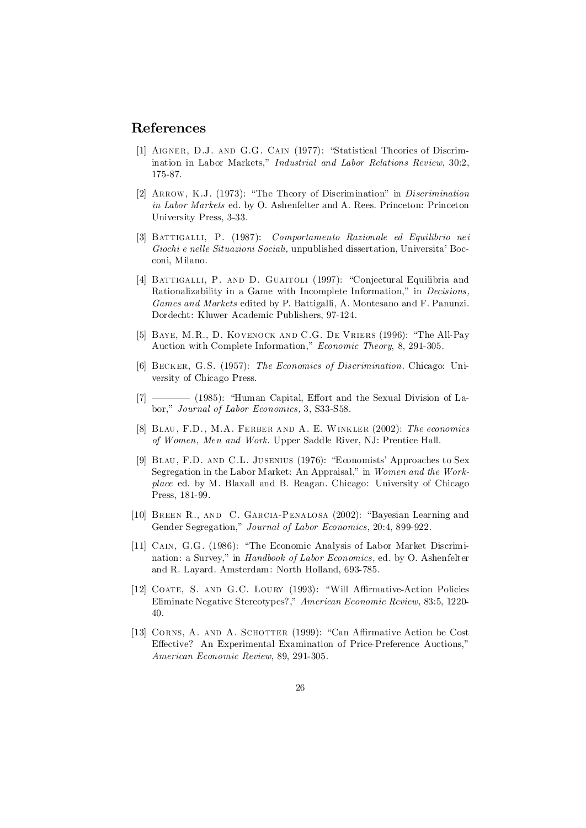# References

- [1] AIGNER, D.J. AND G.G. CAIN (1977): "Statistical Theories of Discrimination in Labor Markets," Industrial and Labor Relations Review, 30:2, 175-87.
- [2] ARROW, K.J. (1973): "The Theory of Discrimination" in *Discrimination* in Labor Markets ed. by O. Ashenfelter and A. Rees. Princeton: Princeton University Press, 3-33.
- [3] Battigalli, P. (1987): Comportamento Razionale ed Equilibrio nei Giochi e nelle Situazioni Sociali, unpublished dissertation, Universita' Bocconi, Milano.
- [4] BATTIGALLI, P. AND D. GUAITOLI (1997): "Conjectural Equilibria and Rationalizability in a Game with Incomplete Information," in Decisions, Games and Markets edited by P. Battigalli, A. Montesano and F. Panunzi. Dordecht: Kluwer Academic Publishers, 97-124.
- [5] BAYE, M.R., D. KOVENOCK AND C.G. DE VRIERS (1996): "The All-Pay Auction with Complete Information," Economic Theory, 8, 291-305.
- [6] Becker, G.S. (1957): The Economics of Discrimination. Chicago: University of Chicago Press.
- [7] ———— (1985): "Human Capital, Effort and the Sexual Division of Labor," Journal of Labor Economics, 3, S33-S58.
- [8] Blau, F.D., M.A. Ferber and A. E. Winkler (2002): The economics of Women, Men and Work. Upper Saddle River, NJ: Prentice Hall.
- [9] Blau, F.D. and C.L. Jusenius (1976): "Economists' Approaches to Sex Segregation in the Labor Market: An Appraisal," in Women and the Workplace ed. by M. Blaxall and B. Reagan. Chicago: University of Chicago Press, 181-99.
- [10] Breen R., and C. Garcia-Penalosa (2002): "Bayesian Learning and Gender Segregation," Journal of Labor Economics, 20:4, 899-922.
- [11] CAIN, G.G. (1986): "The Economic Analysis of Labor Market Discrimination: a Survey," in *Handbook of Labor Economics*, ed. by O. Ashenfelter and R. Layard. Amsterdam: North Holland, 693-785.
- [12] COATE, S. AND G.C. LOURY (1993): "Will Affirmative-Action Policies Eliminate Negative Stereotypes?," American Economic Review, 83:5, 1220- 40.
- [13] CORNS, A. AND A. SCHOTTER (1999): "Can Affirmative Action be Cost Effective? An Experimental Examination of Price-Preference Auctions," American Economic Review, 89, 291-305.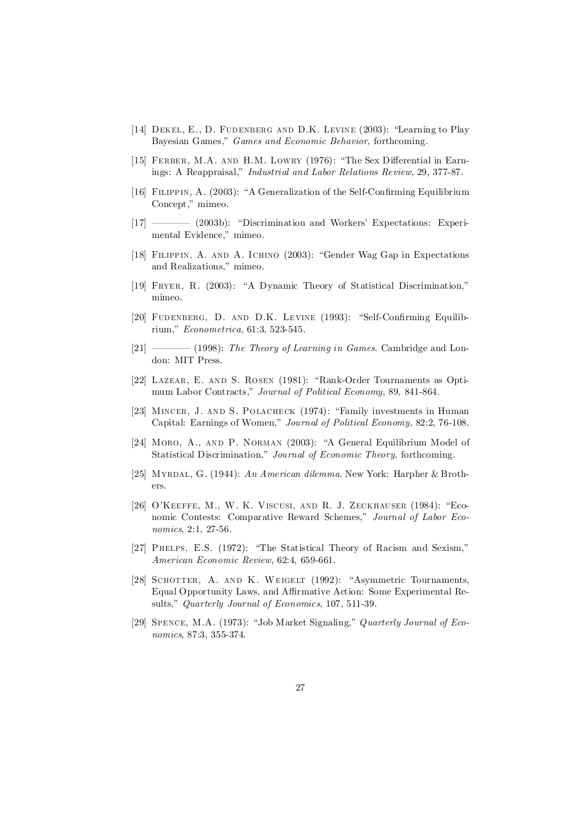- [14] Dekel, E., D. Fudenberg and D.K. Levine (2003): "Learning to Play Bayesian Games," Games and Economic Behavior, forthcoming.
- [15] FERBER, M.A. AND H.M. LOWRY (1976): "The Sex Differential in Earnings: A Reappraisal," Industrial and Labor Relations Review, 29, 377-87.
- [16] FILIPPIN, A. (2003): "A Generalization of the Self-Confirming Equilibrium Concept," mimeo.
- [17] ———— (2003b): "Discrimination and Workers' Expectations: Experimental Evidence," mimeo.
- [18] Filippin, A. and A. Ichino (2003): "Gender Wag Gap in Expectations and Realizations," mimeo.
- [19] Fryer, R. (2003): "A Dynamic Theory of Statistical Discrimination," mimeo.
- [20] FUDENBERG, D. AND D.K. LEVINE (1993): "Self-Confirming Equilibrium," Econometrica, 61:3, 523-545.
- $[21]$  ———— (1998): The Theory of Learning in Games. Cambridge and London: MIT Press.
- [22] Lazear, E. and S. Rosen (1981): "Rank-Order Tournaments as Optimum Labor Contracts," Journal of Political Economy, 89, 841-864.
- [23] Mincer, J. and S. Polacheck (1974): "Family investments in Human Capital: Earnings of Women," Journal of Political Economy, 82:2, 76-108.
- [24] MORO, A., AND P. NORMAN (2003): "A General Equilibrium Model of Statistical Discrimination," Journal of Economic Theory, forthcoming.
- [25] Myrdal, G. (1944): An American dilemma. New York: Harpher & Brothers.
- [26] O'Keeffe, M., W. K. Viscusi, and R. J. Zeckhauser (1984): "Economic Contests: Comparative Reward Schemes," Journal of Labor Economics, 2:1, 27-56.
- [27] Phelps, E.S. (1972): "The Statistical Theory of Racism and Sexism," American Economic Review, 62:4, 659-661.
- [28] SCHOTTER, A. AND K. WEIGELT (1992): "Asymmetric Tournaments, Equal Opportunity Laws, and Affirmative Action: Some Experimental Results," Quarterly Journal of Economics, 107, 511-39.
- [29] Spence, M.A. (1973): "Job Market Signaling," Quarterly Journal of Economics, 87:3, 355-374.